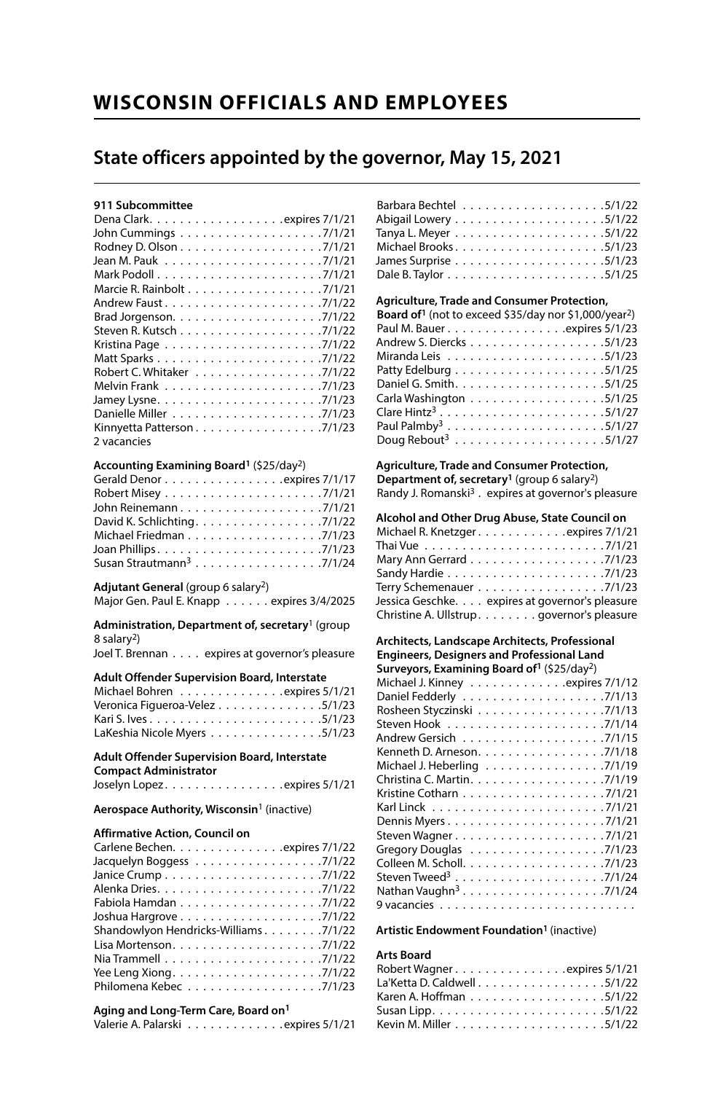## **WISCONSIN OFFICIALS AND EMPLOYEES**

## **State officers appointed by the governor, May 15, 2021**

## **911 Subcommittee**

| John Cummings ..................7/1/21 |
|----------------------------------------|
|                                        |
|                                        |
|                                        |
|                                        |
|                                        |
|                                        |
|                                        |
|                                        |
|                                        |
| Robert C. Whitaker 7/1/22              |
|                                        |
|                                        |
|                                        |
| Kinnyetta Patterson7/1/23              |
| 2 vacancies                            |

#### **Accounting Examining Board1** (\$25/day2)

| John Reinemann7/1/21                 |  |
|--------------------------------------|--|
| David K. Schlichting. 7/1/22         |  |
| Michael Friedman 7/1/23              |  |
| Joan Phillips7/1/23                  |  |
| Susan Strautmann <sup>3</sup> 7/1/24 |  |

### **Adjutant General** (group 6 salary2)

Major Gen. Paul E. Knapp . . . . . . expires 3/4/2025

**Administration, Department of, secretary**1 (group 8 salary2)

Joel T. Brennan . . . . expires at governor's pleasure

### **Adult Offender Supervision Board, Interstate**

| Michael Bohren expires 5/1/21  |  |
|--------------------------------|--|
| Veronica Figueroa-Velez 5/1/23 |  |
|                                |  |
| LaKeshia Nicole Myers 5/1/23   |  |

#### **Adult Offender Supervision Board, Interstate Compact Administrator** Joselyn Lopez . . . . . . . . . . . . . . . expires 5/1/21

#### **Aerospace Authority, Wisconsin**1 (inactive)

#### **Affirmative Action, Council on**

| Carlene Bechen. expires 7/1/22                                                  |
|---------------------------------------------------------------------------------|
| Jacquelyn Boggess 7/1/22                                                        |
|                                                                                 |
|                                                                                 |
|                                                                                 |
|                                                                                 |
| Shandowlyon Hendricks-Williams 7/1/22                                           |
|                                                                                 |
| Nia Trammell $\ldots \ldots \ldots \ldots \ldots \ldots \ldots \ldots$ . 7/1/22 |
| Yee Leng Xiong. $\dots \dots \dots \dots \dots \dots \dots \dots$ 7/1/22        |
| Philomena Kebec 7/1/23                                                          |

#### **Aging and Long-Term Care, Board on1**

|  | Valerie A. Palarski expires 5/1/21 |  |
|--|------------------------------------|--|
|--|------------------------------------|--|

#### **Agriculture, Trade and Consumer Protection,**

| <b>Board of</b> <sup>1</sup> (not to exceed \$35/day nor \$1,000/year <sup>2</sup> ) |
|--------------------------------------------------------------------------------------|
| Paul M. Bauer expires 5/1/23                                                         |
| Andrew S. Diercks 5/1/23                                                             |
|                                                                                      |
|                                                                                      |
|                                                                                      |
| Carla Washington $\ldots \ldots \ldots \ldots \ldots \ldots 5/1/25$                  |
| Clare Hintz <sup>3</sup> 5/1/27                                                      |
|                                                                                      |
|                                                                                      |

#### **Agriculture, Trade and Consumer Protection,**

**Department of, secretary1** (group 6 salary2) Randy J. Romanski<sup>3</sup> . expires at governor's pleasure

#### **Alcohol and Other Drug Abuse, State Council on**

| Michael R. Knetzger expires 7/1/21              |  |
|-------------------------------------------------|--|
|                                                 |  |
| Mary Ann Gerrard 7/1/23                         |  |
|                                                 |  |
| Terry Schemenauer 7/1/23                        |  |
| Jessica Geschke. expires at governor's pleasure |  |
| Christine A. Ullstrup governor's pleasure       |  |

#### **Architects, Landscape Architects, Professional Engineers, Designers and Professional Land Surveyors, Examining Board of1** (\$25/day2)

### **Artistic Endowment Foundation1** (inactive)

#### **Arts Board**

| Robert Wagner expires 5/1/21 |  |  |  |  |  |  |  |  |  |
|------------------------------|--|--|--|--|--|--|--|--|--|
| La'Ketta D. Caldwell 5/1/22  |  |  |  |  |  |  |  |  |  |
| Karen A. Hoffman 5/1/22      |  |  |  |  |  |  |  |  |  |
|                              |  |  |  |  |  |  |  |  |  |
|                              |  |  |  |  |  |  |  |  |  |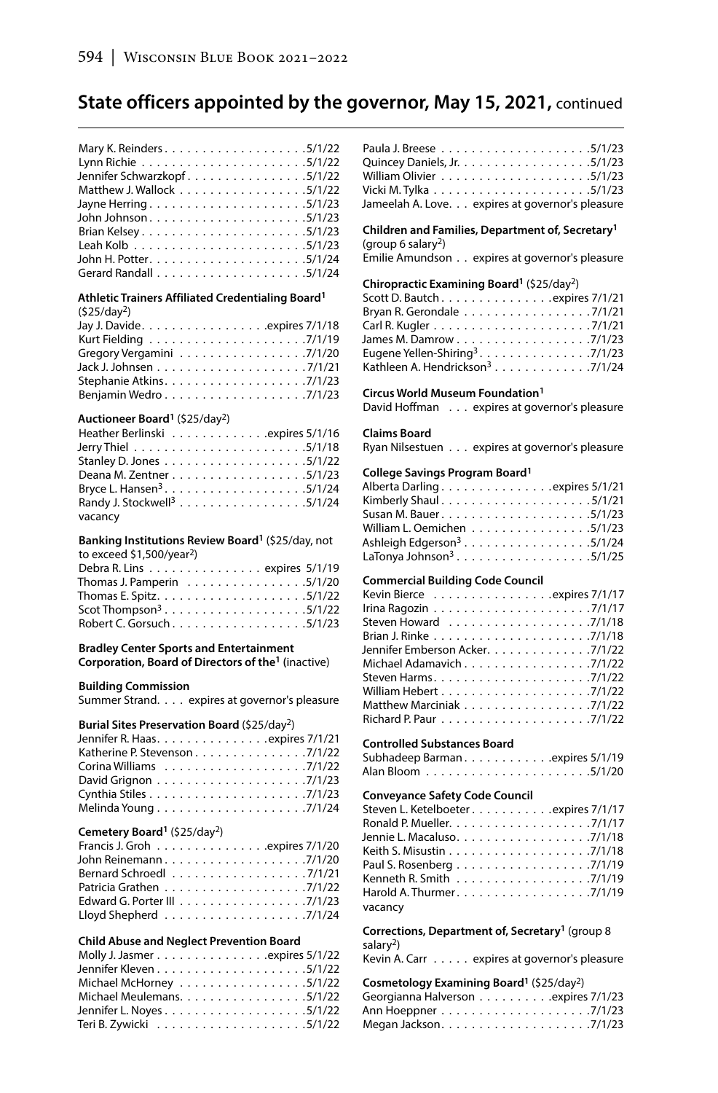| Jennifer Schwarzkopf5/1/22 |  |
|----------------------------|--|
| Matthew J. Wallock 5/1/22  |  |
|                            |  |
|                            |  |
|                            |  |
|                            |  |
|                            |  |
|                            |  |

### **Athletic Trainers Affiliated Credentialing Board1**

| (525/day <sup>2</sup> )  |
|--------------------------|
|                          |
|                          |
| Gregory Vergamini 7/1/20 |
|                          |
|                          |
| Benjamin Wedro7/1/23     |
|                          |

## **Auctioneer Board1** (\$25/day2)

| Heather Berlinski expires 5/1/16       |  |  |  |  |  |  |
|----------------------------------------|--|--|--|--|--|--|
|                                        |  |  |  |  |  |  |
|                                        |  |  |  |  |  |  |
| Deana M. Zentner 5/1/23                |  |  |  |  |  |  |
|                                        |  |  |  |  |  |  |
| Randy J. Stockwell <sup>3</sup> 5/1/24 |  |  |  |  |  |  |
| vacancy                                |  |  |  |  |  |  |

#### **Banking Institutions Review Board1** (\$25/day, not to exceed  $$1,500/year^2$

| U EXLEEU 21, JUU/ YEAL 1                                       |  |
|----------------------------------------------------------------|--|
| Debra R. Lins expires 5/1/19                                   |  |
| Thomas J. Pamperin $\ldots \ldots \ldots \ldots \ldots 5/1/20$ |  |
|                                                                |  |
| Scot Thompson <sup>3</sup> 5/1/22                              |  |
| Robert C. Gorsuch 5/1/23                                       |  |

#### **Bradley Center Sports and Entertainment Corporation, Board of Directors of the1 (**inactive)

#### **Building Commission**

Summer Strand. . . . expires at governor's pleasure

#### **Burial Sites Preservation Board** (\$25/day2)

| Jennifer R. Haasexpires 7/1/21 |  |
|--------------------------------|--|
| Katherine P. Stevenson 7/1/22  |  |
|                                |  |
|                                |  |
|                                |  |
|                                |  |

## **Cemetery Board1** (\$25/day2)

| Francis J. Groh expires 7/1/20                            |  |  |  |  |  |  |  |  |  |  |
|-----------------------------------------------------------|--|--|--|--|--|--|--|--|--|--|
|                                                           |  |  |  |  |  |  |  |  |  |  |
| Bernard Schroed [1, 1, 1, 1, 1, 1, 1, 1, 1, 1, 1, 7/1/21] |  |  |  |  |  |  |  |  |  |  |
|                                                           |  |  |  |  |  |  |  |  |  |  |
|                                                           |  |  |  |  |  |  |  |  |  |  |
|                                                           |  |  |  |  |  |  |  |  |  |  |

#### **Child Abuse and Neglect Prevention Board**

| Molly J. Jasmer expires 5/1/22 |  |
|--------------------------------|--|
|                                |  |
| Michael McHorney 5/1/22        |  |
| Michael Meulemans. 5/1/22      |  |
|                                |  |
|                                |  |
|                                |  |

| Jameelah A. Love. expires at governor's pleasure |  |
|--------------------------------------------------|--|

#### **Children and Families, Department of, Secretary1** (group 6 salary2)

Emilie Amundson . . expires at governor's pleasure

#### **Chiropractic Examining Board1** (\$25/day2)

| Scott D. Bautch expires 7/1/21              |  |  |  |  |  |
|---------------------------------------------|--|--|--|--|--|
| Bryan R. Gerondale 7/1/21                   |  |  |  |  |  |
|                                             |  |  |  |  |  |
| James M. Damrow 7/1/23                      |  |  |  |  |  |
| Eugene Yellen-Shiring <sup>3</sup> . 7/1/23 |  |  |  |  |  |
| Kathleen A. Hendrickson <sup>3</sup> 7/1/24 |  |  |  |  |  |

#### **Circus World Museum Foundation1**

David Hoffman . . . expires at governor's pleasure

#### **Claims Board**

Ryan Nilsestuen . . . expires at governor's pleasure

#### **College Savings Program Board1**

| Alberta Darlingexpires 5/1/21         |  |
|---------------------------------------|--|
|                                       |  |
|                                       |  |
| William L. Oemichen 5/1/23            |  |
| Ashleigh Edgerson <sup>3</sup> 5/1/24 |  |
| LaTonya Johnson <sup>3</sup> . 5/1/25 |  |

## **Commercial Building Code Council**

| Kevin Bierce expires 7/1/17                                                    |
|--------------------------------------------------------------------------------|
| Irina Ragozin $\ldots \ldots \ldots \ldots \ldots \ldots \ldots \ldots$ 7/1/17 |
|                                                                                |
|                                                                                |
| Jennifer Emberson Acker. 7/1/22                                                |
| Michael Adamavich 7/1/22                                                       |
|                                                                                |
|                                                                                |
| Matthew Marciniak 7/1/22                                                       |
|                                                                                |

#### **Controlled Substances Board**

| Subhadeep Barman expires 5/1/19 |  |  |  |  |  |  |  |
|---------------------------------|--|--|--|--|--|--|--|
|                                 |  |  |  |  |  |  |  |

#### **Conveyance Safety Code Council**

| Steven L. Ketelboeter expires 7/1/17                                    |
|-------------------------------------------------------------------------|
|                                                                         |
|                                                                         |
|                                                                         |
|                                                                         |
|                                                                         |
| Harold A. Thurmer. $\ldots \ldots \ldots \ldots \ldots \ldots$ . 7/1/19 |
| vacancy                                                                 |

#### **Corrections, Department of, Secretary1** (group 8 salary<sup>2</sup>)

Kevin A. Carr . . . . . expires at governor's pleasure

#### **Cosmetology Examining Board1** (\$25/day2)

| Georgianna Halverson expires 7/1/23 |  |  |  |
|-------------------------------------|--|--|--|
|                                     |  |  |  |
|                                     |  |  |  |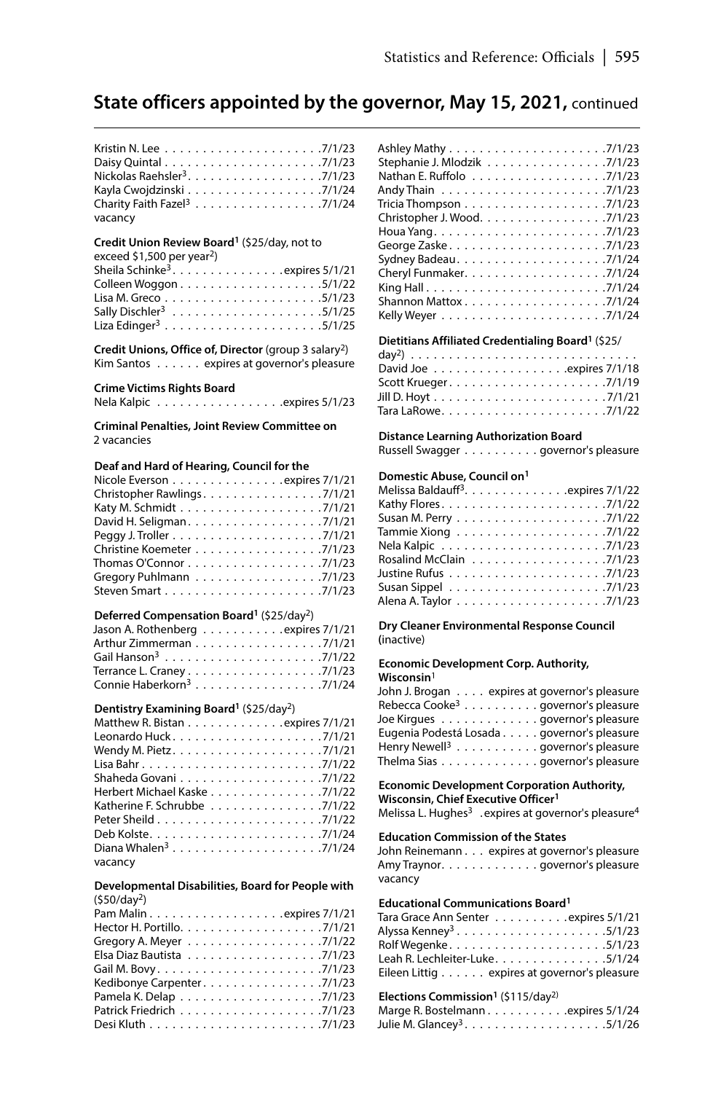| Charity Faith Fazel <sup>3</sup> 7/1/24 |  |
|-----------------------------------------|--|
| vacancy                                 |  |

## **Credit Union Review Board1** (\$25/day, not to

exceed \$1,500 per year2)

| Sheila Schinke <sup>3</sup> . expires $5/1/21$ |  |
|------------------------------------------------|--|
|                                                |  |
|                                                |  |
|                                                |  |
| Liza Edinger <sup>3</sup> 5/1/25               |  |

**Credit Unions, Office of, Director** (group 3 salary2) Kim Santos . . . . . . expires at governor's pleasure

#### **Crime Victims Rights Board**

Nela Kalpic . . . . . . . . . . . . . . . . . . expires 5/1/23

**Criminal Penalties, Joint Review Committee on** 2 vacancies

### **Deaf and Hard of Hearing, Council for the**

| Nicole Everson expires 7/1/21                                        |
|----------------------------------------------------------------------|
| Christopher Rawlings. 7/1/21                                         |
|                                                                      |
| David H. Seligman. 7/1/21                                            |
|                                                                      |
| Christine Koemeter 7/1/23                                            |
| Thomas O'Connor $\ldots \ldots \ldots \ldots \ldots \ldots$ . 7/1/23 |
| Gregory Puhlmann 7/1/23                                              |
|                                                                      |

#### **Deferred Compensation Board1** (\$25/day2)

| Jason A. Rothenberg expires 7/1/21   |  |  |  |  |  |  |
|--------------------------------------|--|--|--|--|--|--|
| Arthur Zimmerman 7/1/21              |  |  |  |  |  |  |
|                                      |  |  |  |  |  |  |
| Terrance L. Craney 7/1/23            |  |  |  |  |  |  |
| Connie Haberkorn <sup>3</sup> 7/1/24 |  |  |  |  |  |  |

### **Dentistry Examining Board1** (\$25/day2)

| Matthew R. Bistan expires 7/1/21                                    |
|---------------------------------------------------------------------|
|                                                                     |
|                                                                     |
|                                                                     |
| Shaheda Govani $\ldots \ldots \ldots \ldots \ldots \ldots$ . 7/1/22 |
| Herbert Michael Kaske 7/1/22                                        |
| Katherine F. Schrubbe 7/1/22                                        |
|                                                                     |
|                                                                     |
| Diana Whalen <sup>3</sup> 7/1/24                                    |
| vacancy                                                             |

#### **Developmental Disabilities, Board for People with** (\$50/day2)

| Gregory A. Meyer 7/1/22     |
|-----------------------------|
| Elsa Diaz Bautista 7/1/23   |
|                             |
| Kedibonye Carpenter. 7/1/23 |
|                             |
|                             |
|                             |
|                             |

| Stephanie J. Mlodzik 7/1/23 |
|-----------------------------|
|                             |
|                             |
|                             |
| Christopher J. Wood. 7/1/23 |
|                             |
|                             |
|                             |
|                             |
|                             |
| Shannon Mattox7/1/24        |
|                             |

## **Dietitians Affiliated Credentialing Board1** (\$25/

#### **Distance Learning Authorization Board**

Russell Swagger . . . . . . . . . . governor's pleasure

## **Domestic Abuse, Council on1**

| Melissa Baldauff <sup>3</sup> . expires 7/1/22 |
|------------------------------------------------|
|                                                |
|                                                |
|                                                |
|                                                |
| Rosalind McClain 7/1/23                        |
| Justine Rufus ......................7/1/23     |
|                                                |
|                                                |
|                                                |

**Dry Cleaner Environmental Response Council (**inactive)

#### **Economic Development Corp. Authority, Wisconsin**<sup>1</sup>

| John J. Brogan expires at governor's pleasure  |  |
|------------------------------------------------|--|
| Rebecca Cooke <sup>3</sup> governor's pleasure |  |
| Joe Kirgues governor's pleasure                |  |
| Eugenia Podestá Losada governor's pleasure     |  |
| Henry Newell <sup>3</sup> governor's pleasure  |  |
| Thelma Sias governor's pleasure                |  |

**Economic Development Corporation Authority, Wisconsin, Chief Executive Officer1**

Melissa L. Hughes<sup>3</sup> . expires at governor's pleasure<sup>4</sup>

#### **Education Commission of the States**

John Reinemann . . . expires at governor's pleasure Amy Traynor. . . . . . . . . . . . . . . governor's pleasure vacancy

#### **Educational Communications Board1**

| Tara Grace Ann Senter expires 5/1/21         |  |
|----------------------------------------------|--|
| Alyssa Kenney <sup>3</sup> 5/1/23            |  |
|                                              |  |
| Leah R. Lechleiter-Luke. 5/1/24              |  |
| Eileen Littig expires at governor's pleasure |  |

#### Elections Commission<sup>1</sup> (\$115/day<sup>2)</sup>

| Marge R. Bostelmann. expires 5/1/24 |  |  |  |  |
|-------------------------------------|--|--|--|--|
|                                     |  |  |  |  |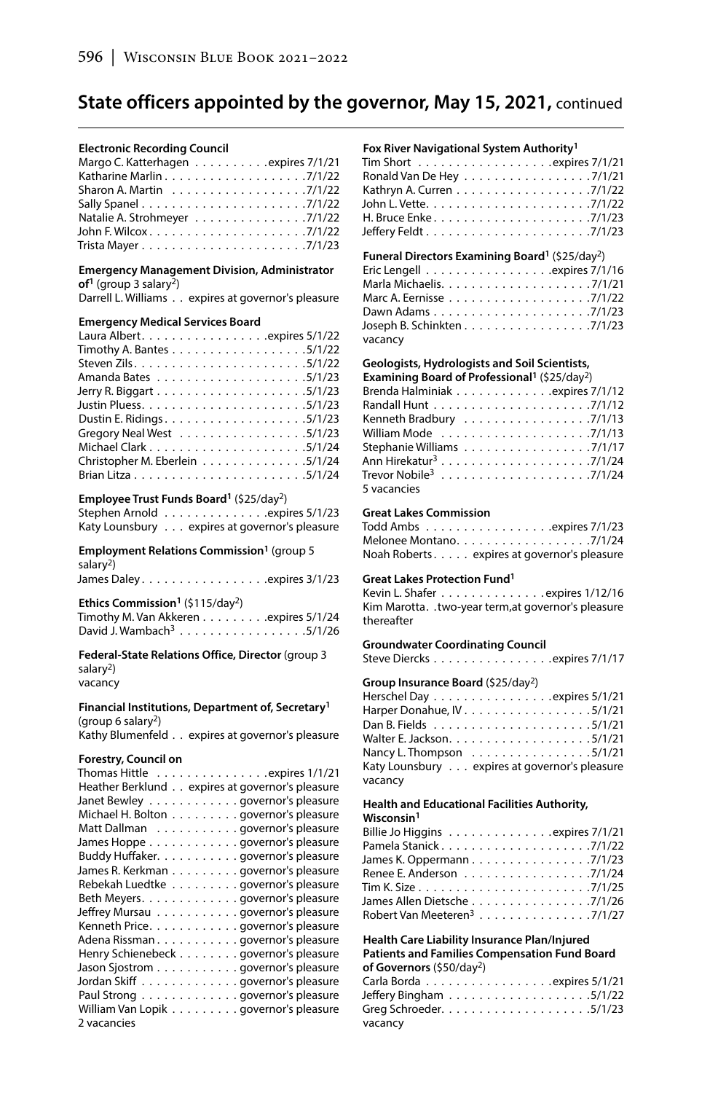#### **Electronic Recording Council**

| Margo C. Katterhagen expires 7/1/21                                   |  |
|-----------------------------------------------------------------------|--|
|                                                                       |  |
| Sharon A. Martin $\ldots \ldots \ldots \ldots \ldots \ldots$ . 7/1/22 |  |
|                                                                       |  |
| Natalie A. Strohmeyer 7/1/22                                          |  |
|                                                                       |  |
|                                                                       |  |

#### **Emergency Management Division, Administrator of1** (group 3 salary2)

Darrell L. Williams . . expires at governor's pleasure

#### **Emergency Medical Services Board**

| Timothy A. Bantes 5/1/22                                              |
|-----------------------------------------------------------------------|
|                                                                       |
|                                                                       |
|                                                                       |
|                                                                       |
|                                                                       |
| Gregory Neal West $\ldots \ldots \ldots \ldots \ldots \ldots$ .5/1/23 |
|                                                                       |
| Christopher M. Eberlein 5/1/24                                        |
|                                                                       |

#### **Employee Trust Funds Board1** (\$25/day2)

Stephen Arnold . . . . . . . . . . . . . . . expires 5/1/23 Katy Lounsbury . . . expires at governor's pleasure

#### **Employment Relations Commission1** (group 5 salary<sup>2</sup>)

| James Daley. expires 3/1/23 |
|-----------------------------|
|-----------------------------|

#### **Ethics Commission1** (\$115/day2) Timothy M. Van Akkeren . . . . . . . . . expires 5/1/24 David J. Wambach<sup>3</sup> . . . . . . . . . . . . . . . . . . 5/1/26

**Federal-State Relations Office, Director** (group 3 salary $^2$ ) vacancy

#### **Financial Institutions, Department of, Secretary1** (group 6 salary<sup>2</sup>)

Kathy Blumenfeld . . expires at governor's pleasure

#### **Forestry, Council on**

| Thomas Hittle $\dots\dots\dots\dots\dots$ expires 1/1/21 |
|----------------------------------------------------------|
| Heather Berklund expires at governor's pleasure          |
| Janet Bewley governor's pleasure                         |
| Michael H. Bolton governor's pleasure                    |
| Matt Dallman governor's pleasure                         |
| James Hoppe governor's pleasure                          |
| Buddy Huffaker. governor's pleasure                      |
| James R. Kerkman governor's pleasure                     |
| Rebekah Luedtke governor's pleasure                      |
| Beth Meyers. governor's pleasure                         |
| Jeffrey Mursau governor's pleasure                       |
| Kenneth Price. governor's pleasure                       |
| Adena Rissmangovernor's pleasure                         |
| Henry Schienebeck governor's pleasure                    |
| Jason Sjostrom governor's pleasure                       |
| Jordan Skiff governor's pleasure                         |
| Paul Strong governor's pleasure                          |
| William Van Lopik governor's pleasure                    |
| 2 vacancies                                              |

### **Fox River Navigational System Authority1**

| Tim Short $\ldots \ldots \ldots \ldots \ldots$ |  |
|------------------------------------------------|--|
| Ronald Van De Hey 7/1/21                       |  |
| Kathryn A. Curren 7/1/22                       |  |
|                                                |  |
|                                                |  |
|                                                |  |

### **Funeral Directors Examining Board1** (\$25/day2)

| Eric Lengell $\ldots \ldots \ldots \ldots \ldots$ .expires 7/1/16 |  |
|-------------------------------------------------------------------|--|
|                                                                   |  |
|                                                                   |  |
|                                                                   |  |
| Joseph B. Schinkten 7/1/23                                        |  |
| vacancy                                                           |  |

## **Geologists, Hydrologists and Soil Scientists,**

| Examining Board of Professional <sup>1</sup> (\$25/day <sup>2</sup> ) |
|-----------------------------------------------------------------------|
| Brenda Halminiak expires 7/1/12                                       |
|                                                                       |
| Kenneth Bradbury 7/1/13                                               |
|                                                                       |
| Stephanie Williams 7/1/17                                             |
|                                                                       |
|                                                                       |
| 5 vacancies                                                           |

### **Great Lakes Commission**

| Todd Ambs $\ldots \ldots \ldots \ldots \ldots$ .expires 7/1/23 |  |
|----------------------------------------------------------------|--|
| Melonee Montano. 7/1/24                                        |  |
| Noah Roberts expires at governor's pleasure                    |  |

#### **Great Lakes Protection Fund1**

Kevin L. Shafer . . . . . . . . . . . . . . expires 1/12/16 Kim Marotta. .two-year term, at governor's pleasure thereafter

#### **Groundwater Coordinating Council**

Steve Diercks . . . . . . . . . . . . . . . . . expires 7/1/17

### **Group Insurance Board** (\$25/day2)

| Herschel Day expires 5/1/21                                   |
|---------------------------------------------------------------|
|                                                               |
|                                                               |
|                                                               |
| Nancy L. Thompson $\ldots \ldots \ldots \ldots \ldots 5/1/21$ |
| Katy Lounsbury expires at governor's pleasure                 |
| vacancy                                                       |
|                                                               |

## **Health and Educational Facilities Authority,**

**Wisconsin1**

| Pamela Stanick7/1/22                    |  |  |  |  |  |  |
|-----------------------------------------|--|--|--|--|--|--|
| James K. Oppermann 7/1/23               |  |  |  |  |  |  |
| Renee E. Anderson 7/1/24                |  |  |  |  |  |  |
|                                         |  |  |  |  |  |  |
| James Allen Dietsche 7/1/26             |  |  |  |  |  |  |
| Robert Van Meeteren <sup>3</sup> 7/1/27 |  |  |  |  |  |  |

### **Health Care Liability Insurance Plan/Injured Patients and Families Compensation Fund Board**

| of Governors (\$50/day <sup>2</sup> )                           |
|-----------------------------------------------------------------|
| Carla Borda $\ldots \ldots \ldots \ldots \ldots$ expires 5/1/21 |
|                                                                 |
|                                                                 |
| vacancy                                                         |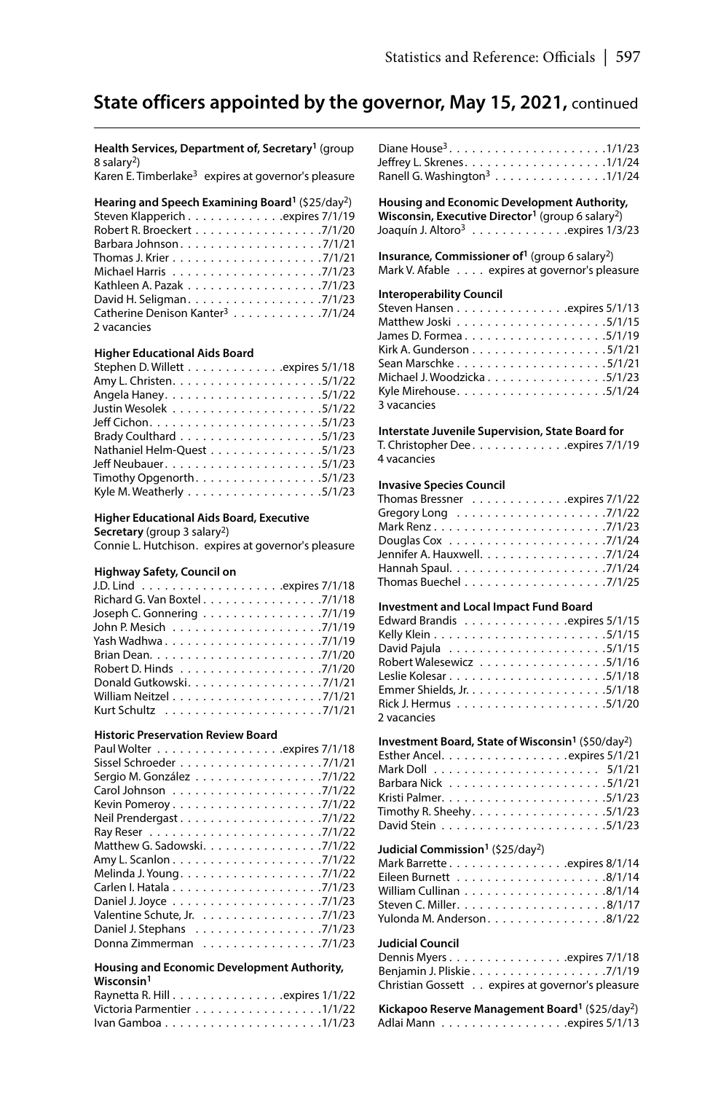**Health Services, Department of, Secretary1** (group 8 salary2)

Karen E. Timberlake<sup>3</sup> expires at governor's pleasure

| Hearing and Speech Examining Board <sup>1</sup> (\$25/day <sup>2</sup> ) |
|--------------------------------------------------------------------------|
| Steven Klapperich expires 7/1/19                                         |
| Robert R. Broeckert 7/1/20                                               |
|                                                                          |
|                                                                          |
|                                                                          |
|                                                                          |
|                                                                          |
| Catherine Denison Kanter <sup>3</sup> 7/1/24                             |
| 2 vacancies                                                              |

#### **Higher Educational Aids Board**

| Stephen D. Willett expires 5/1/18                                       |
|-------------------------------------------------------------------------|
|                                                                         |
|                                                                         |
|                                                                         |
|                                                                         |
|                                                                         |
| Nathaniel Helm-Quest 5/1/23                                             |
|                                                                         |
| Timothy Opgenorth. $\ldots \ldots \ldots \ldots \ldots \ldots$ . 5/1/23 |
| Kyle M. Weatherly 5/1/23                                                |

#### **Higher Educational Aids Board, Executive**

**Secretary** (group 3 salary2)

Connie L. Hutchison. expires at governor's pleasure

#### **Highway Safety, Council on**

| Richard G. Van Boxtel 7/1/18 |
|------------------------------|
| Joseph C. Gonnering 7/1/19   |
|                              |
|                              |
|                              |
|                              |
| Donald Gutkowski. 7/1/21     |
|                              |
|                              |

#### **Historic Preservation Review Board**

| Paul Wolter expires 7/1/18   |
|------------------------------|
|                              |
| Sergio M. González 7/1/22    |
|                              |
|                              |
|                              |
|                              |
| Matthew G. Sadowski. 7/1/22  |
|                              |
| Melinda J. Young7/1/22       |
|                              |
|                              |
| Valentine Schute, Jr. 7/1/23 |
| Daniel J. Stephans 7/1/23    |
| Donna Zimmerman 7/1/23       |

#### **Housing and Economic Development Authority, Wisconsin1**

| Raynetta R. Hill expires 1/1/22 |  |  |  |  |  |  |  |  |  |  |
|---------------------------------|--|--|--|--|--|--|--|--|--|--|
| Victoria Parmentier 1/1/22      |  |  |  |  |  |  |  |  |  |  |
|                                 |  |  |  |  |  |  |  |  |  |  |

| Ranell G. Washington <sup>3</sup> 1/1/24 |  |  |  |  |  |  |  |  |
|------------------------------------------|--|--|--|--|--|--|--|--|

**Housing and Economic Development Authority, Wisconsin, Executive Director1** (group 6 salary2) Joaquín J. Altoro<sup>3</sup> . . . . . . . . . . . . . . expires 1/3/23

**Insurance, Commissioner of1** (group 6 salary2) Mark V. Afable . . . . expires at governor's pleasure

## **Interoperability Council**

| Steven Hansen expires 5/1/13 |  |  |  |  |  |  |  |  |  |
|------------------------------|--|--|--|--|--|--|--|--|--|
|                              |  |  |  |  |  |  |  |  |  |
|                              |  |  |  |  |  |  |  |  |  |
| Kirk A. Gunderson 5/1/21     |  |  |  |  |  |  |  |  |  |
|                              |  |  |  |  |  |  |  |  |  |
| Michael J. Woodzicka 5/1/23  |  |  |  |  |  |  |  |  |  |
| Kyle Mirehouse5/1/24         |  |  |  |  |  |  |  |  |  |
| 3 vacancies                  |  |  |  |  |  |  |  |  |  |

#### **Interstate Juvenile Supervision, State Board for**

T. Christopher Dee . . . . . . . . . . . . expires 7/1/19 4 vacancies

#### **Invasive Species Council**

| Thomas Bressner $\ldots \ldots \ldots \ldots$ expires 7/1/22             |  |
|--------------------------------------------------------------------------|--|
| Gregory Long $\ldots \ldots \ldots \ldots \ldots \ldots \ldots$ . 7/1/22 |  |
| Mark Renz7/1/23                                                          |  |
|                                                                          |  |
| Jennifer A. Hauxwell. 7/1/24                                             |  |
|                                                                          |  |
| Thomas Buechel $\ldots \ldots \ldots \ldots \ldots \ldots$ . 7/1/25      |  |

#### **Investment and Local Impact Fund Board**

| Edward Brandis expires 5/1/15 |  |
|-------------------------------|--|
|                               |  |
|                               |  |
| Robert Walesewicz 5/1/16      |  |
|                               |  |
|                               |  |
|                               |  |
| 2 vacancies                   |  |

| Investment Board, State of Wisconsin <sup>1</sup> (\$50/day <sup>2</sup> ) |
|----------------------------------------------------------------------------|
| Esther Ancel. expires 5/1/21                                               |
|                                                                            |
|                                                                            |
|                                                                            |
| Timothy R. Sheehy. 5/1/23                                                  |
|                                                                            |

#### **Judicial Commission1** (\$25/day2)

| Yulonda M. Anderson 8/1/22 |  |  |
|----------------------------|--|--|

#### **Judicial Council**

| Dennis Myers expires 7/1/18                      |  |  |  |  |  |
|--------------------------------------------------|--|--|--|--|--|
|                                                  |  |  |  |  |  |
| Christian Gossett expires at governor's pleasure |  |  |  |  |  |

|  | Kickapoo Reserve Management Board <sup>1</sup> (\$25/day <sup>2</sup> ) |
|--|-------------------------------------------------------------------------|
|  |                                                                         |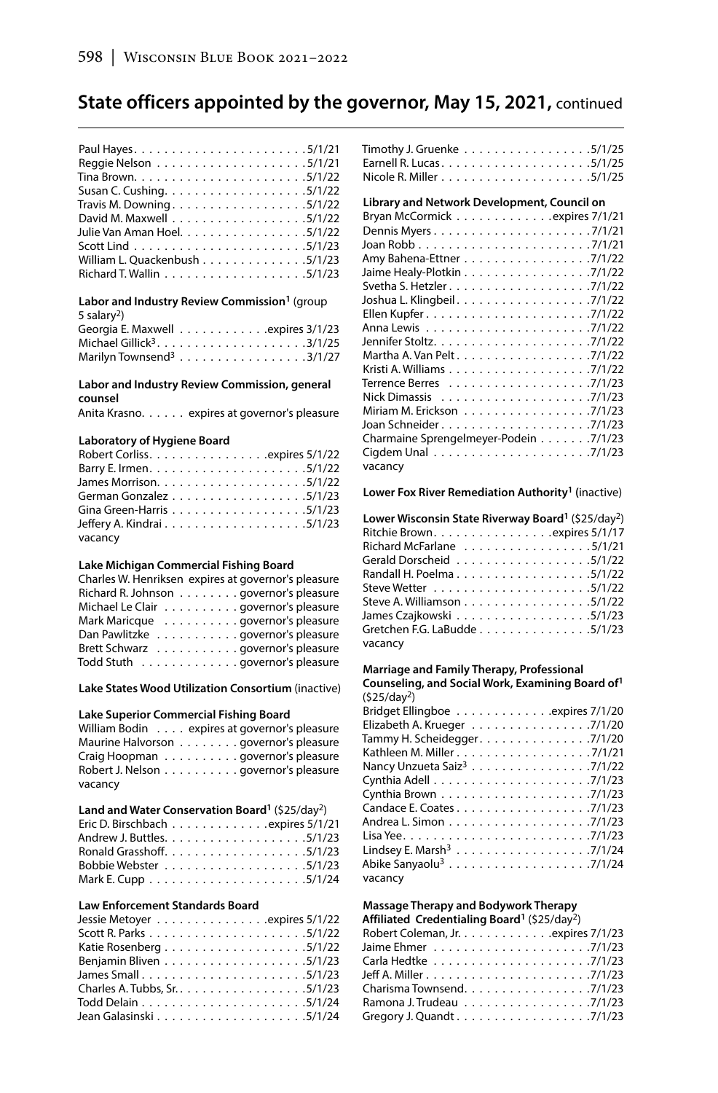| Travis M. Downing5/1/22       |
|-------------------------------|
|                               |
| Julie Van Aman Hoel. 5/1/22   |
|                               |
| William L. Quackenbush 5/1/23 |
|                               |
|                               |

#### **Labor and Industry Review Commission1** (group 5 salary2) Georgia E. Maxwell . . . . . . . . . . . . . expires 3/1/23 Michael Gillick3 . . . . . . . . . . . . . . . . . . . 3/1/25 Marilyn Townsend $3 \ldots \ldots \ldots \ldots \ldots \ldots 3/1/27$

#### **Labor and Industry Review Commission, general counsel**

Anita Krasno. . . . . . expires at governor's pleasure

#### **Laboratory of Hygiene Board**

| Robert Corliss. expires 5/1/22 |  |  |
|--------------------------------|--|--|
|                                |  |  |
|                                |  |  |
| German Gonzalez 5/1/23         |  |  |
| Gina Green-Harris 5/1/23       |  |  |
|                                |  |  |
| vacancy                        |  |  |

## **Lake Michigan Commercial Fishing Board**

| Charles W. Henriksen expires at governor's pleasure |
|-----------------------------------------------------|
| Richard R. Johnson governor's pleasure              |
| Michael Le Clair governor's pleasure                |
| Mark Maricque governor's pleasure                   |
| Dan Pawlitzke governor's pleasure                   |
| Brett Schwarz governor's pleasure                   |
| Todd Stuth governor's pleasure                      |

**Lake States Wood Utilization Consortium** (inactive)

#### **Lake Superior Commercial Fishing Board**

| William Bodin expires at governor's pleasure |
|----------------------------------------------|
| Maurine Halvorson governor's pleasure        |
| Craig Hoopman governor's pleasure            |
| Robert J. Nelson governor's pleasure         |
| vacancy                                      |

### **Land and Water Conservation Board1** (\$25/day2)

| Eric D. Birschbach expires 5/1/21 |  |  |  |  |  |  |  |  |  |
|-----------------------------------|--|--|--|--|--|--|--|--|--|
|                                   |  |  |  |  |  |  |  |  |  |
|                                   |  |  |  |  |  |  |  |  |  |
|                                   |  |  |  |  |  |  |  |  |  |
|                                   |  |  |  |  |  |  |  |  |  |

### **Law Enforcement Standards Board**

| Jessie Metoyer expires 5/1/22 |
|-------------------------------|
|                               |
|                               |
|                               |
| James Small5/1/23             |
|                               |
|                               |
|                               |
|                               |

| Timothy J. Gruenke 5/1/25 |  |  |  |  |  |  |  |  |  |
|---------------------------|--|--|--|--|--|--|--|--|--|
| Earnell R. Lucas5/1/25    |  |  |  |  |  |  |  |  |  |
|                           |  |  |  |  |  |  |  |  |  |

#### **Library and Network Development, Council on**

| Bryan McCormick expires 7/1/21        |
|---------------------------------------|
|                                       |
|                                       |
| Amy Bahena-Ettner 7/1/22              |
| Jaime Healy-Plotkin 7/1/22            |
|                                       |
| Joshua L. Klingbeil. 7/1/22           |
|                                       |
|                                       |
|                                       |
|                                       |
|                                       |
|                                       |
|                                       |
| Miriam M. Erickson 7/1/23             |
|                                       |
| Charmaine Sprengelmeyer-Podein 7/1/23 |
|                                       |
| vacancy                               |

### **Lower Fox River Remediation Authority1 (**inactive)

| Lower Wisconsin State Riverway Board <sup>1</sup> (\$25/day <sup>2</sup> ) |
|----------------------------------------------------------------------------|
| Ritchie Brown. expires 5/1/17                                              |
| Richard McFarlane $\ldots \ldots \ldots \ldots \ldots 5/1/21$              |
| Gerald Dorscheid 5/1/22                                                    |
|                                                                            |
|                                                                            |
| Steve A. Williamson 5/1/22                                                 |
| James Czajkowski 5/1/23                                                    |
| Gretchen F.G. LaBudde 5/1/23                                               |
| vacancy                                                                    |

## **Marriage and Family Therapy, Professional**

| Marriage and Family Therapy, Professional                           |  |  |  |  |  |  |  |  |  |  |  |  |  |
|---------------------------------------------------------------------|--|--|--|--|--|--|--|--|--|--|--|--|--|
| Counseling, and Social Work, Examining Board of <sup>1</sup>        |  |  |  |  |  |  |  |  |  |  |  |  |  |
| (525/day <sup>2</sup> )                                             |  |  |  |  |  |  |  |  |  |  |  |  |  |
| Bridget Ellingboe expires 7/1/20                                    |  |  |  |  |  |  |  |  |  |  |  |  |  |
| Elizabeth A. Krueger 7/1/20                                         |  |  |  |  |  |  |  |  |  |  |  |  |  |
| Tammy H. Scheidegger. $\ldots \ldots \ldots \ldots \ldots$ . 7/1/20 |  |  |  |  |  |  |  |  |  |  |  |  |  |
| Kathleen M. Miller 7/1/21                                           |  |  |  |  |  |  |  |  |  |  |  |  |  |
| Nancy Unzueta Saiz <sup>3</sup> 7/1/22                              |  |  |  |  |  |  |  |  |  |  |  |  |  |
|                                                                     |  |  |  |  |  |  |  |  |  |  |  |  |  |
|                                                                     |  |  |  |  |  |  |  |  |  |  |  |  |  |
|                                                                     |  |  |  |  |  |  |  |  |  |  |  |  |  |
|                                                                     |  |  |  |  |  |  |  |  |  |  |  |  |  |
|                                                                     |  |  |  |  |  |  |  |  |  |  |  |  |  |
|                                                                     |  |  |  |  |  |  |  |  |  |  |  |  |  |
|                                                                     |  |  |  |  |  |  |  |  |  |  |  |  |  |

vacancy

#### **Massage Therapy and Bodywork Therapy Affiliated Credentialing Board1** (\$25/day2)

| Robert Coleman, Jr. expires 7/1/23   |
|--------------------------------------|
|                                      |
|                                      |
|                                      |
| Charisma Townsend. $\ldots$ , 7/1/23 |
| Ramona J. Trudeau 7/1/23             |
|                                      |
|                                      |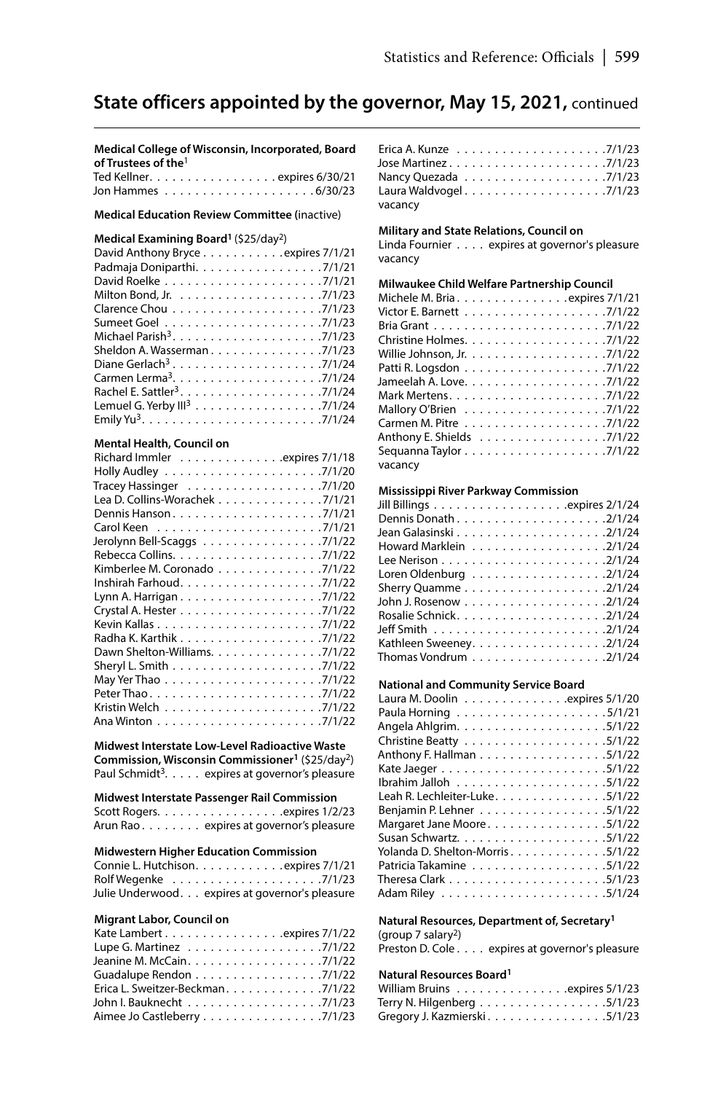**Medical College of Wisconsin, Incorporated, Board of Trustees of the**<sup>1</sup>  $T = \frac{1}{2}$ 

| $equ$ Neurier. $\ldots \ldots \ldots \ldots \ldots$ |  |  |  |  |  |  |  |  |  |  |  |  |
|-----------------------------------------------------|--|--|--|--|--|--|--|--|--|--|--|--|
|                                                     |  |  |  |  |  |  |  |  |  |  |  |  |

**Medical Education Review Committee (**inactive)

#### **Medical Examining Board1** (\$25/day2)

### **Mental Health, Council on**

| Richard Immler expires 7/1/18  |
|--------------------------------|
|                                |
| Tracey Hassinger 7/1/20        |
| Lea D. Collins-Worachek 7/1/21 |
|                                |
|                                |
| Jerolynn Bell-Scaggs 7/1/22    |
|                                |
| Kimberlee M. Coronado 7/1/22   |
|                                |
|                                |
|                                |
|                                |
|                                |
| Dawn Shelton-Williams. 7/1/22  |
|                                |
|                                |
|                                |
|                                |
|                                |

**Midwest Interstate Low-Level Radioactive Waste Commission, Wisconsin Commissioner1** (\$25/day2) Paul Schmidt<sup>3</sup>. . . . . expires at governor's pleasure

#### **Midwest Interstate Passenger Rail Commission** Scott Rogers . . . . . . . . . . . . . . . . expires 1/2/23

|  |  |  |  | Arun Rao. expires at governor's pleasure |
|--|--|--|--|------------------------------------------|
|  |  |  |  |                                          |

#### **Midwestern Higher Education Commission**

| Connie L. Hutchison. expires 7/1/21             |
|-------------------------------------------------|
|                                                 |
| Julie Underwood. expires at governor's pleasure |

#### **Migrant Labor, Council on**

| Kate Lambert expires $7/1/22$   |  |
|---------------------------------|--|
| Lupe G. Martinez 7/1/22         |  |
| Jeanine M. McCain. 7/1/22       |  |
| Guadalupe Rendon 7/1/22         |  |
| Erica L. Sweitzer-Beckman7/1/22 |  |
| John I. Bauknecht 7/1/23        |  |
| Aimee Jo Castleberry 7/1/23     |  |

| Nancy Quezada $\ldots \ldots \ldots \ldots \ldots \ldots \ldots$ . 7/1/23 |  |
|---------------------------------------------------------------------------|--|
|                                                                           |  |
| vacancy                                                                   |  |

#### **Military and State Relations, Council on**

Linda Fournier . . . . expires at governor's pleasure vacancy

#### **Milwaukee Child Welfare Partnership Council**

| Michele M. Bria expires 7/1/21                                              |
|-----------------------------------------------------------------------------|
|                                                                             |
|                                                                             |
|                                                                             |
|                                                                             |
|                                                                             |
|                                                                             |
|                                                                             |
|                                                                             |
|                                                                             |
| Anthony E. Shields 7/1/22                                                   |
| Sequanna Taylor $\ldots \ldots \ldots \ldots \ldots \ldots \ldots$ . 7/1/22 |
| vacancy                                                                     |

#### **Mississippi River Parkway Commission**

| Howard Marklein 2/1/24                                                    |
|---------------------------------------------------------------------------|
|                                                                           |
| Loren Oldenburg $\ldots \ldots \ldots \ldots \ldots \ldots \ldots$ 2/1/24 |
|                                                                           |
|                                                                           |
|                                                                           |
|                                                                           |
| Kathleen Sweeney. 2/1/24                                                  |
| Thomas Vondrum 2/1/24                                                     |

#### **National and Community Service Board**

| Laura M. Doolin $\ldots \ldots \ldots \ldots$ .expires 5/1/20 |
|---------------------------------------------------------------|
|                                                               |
|                                                               |
|                                                               |
| Anthony F. Hallman 5/1/22                                     |
|                                                               |
|                                                               |
| Leah R. Lechleiter-Luke. 5/1/22                               |
| Benjamin P. Lehner 5/1/22                                     |
| Margaret Jane Moore. 5/1/22                                   |
|                                                               |
| Yolanda D. Shelton-Morris5/1/22                               |
| Patricia Takamine 5/1/22                                      |
|                                                               |
|                                                               |
|                                                               |

#### **Natural Resources, Department of, Secretary1**

(group 7 salary2) Preston D. Cole . . . . expires at governor's pleasure

### **Natural Resources Board1**

| William Bruins expires 5/1/23 |  |  |  |  |  |  |  |  |
|-------------------------------|--|--|--|--|--|--|--|--|
| Terry N. Hilgenberg 5/1/23    |  |  |  |  |  |  |  |  |
| Gregory J. Kazmierski 5/1/23  |  |  |  |  |  |  |  |  |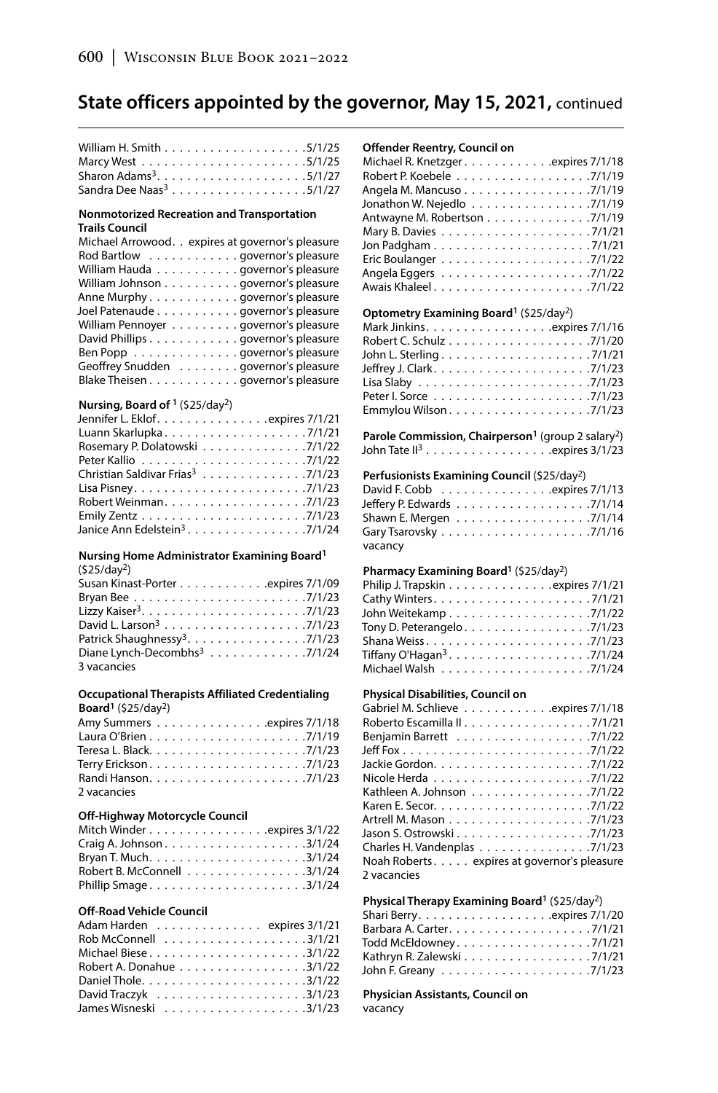| Sandra Dee Naas <sup>3</sup> 5/1/27 |  |  |  |  |  |  |  |  |  |
|-------------------------------------|--|--|--|--|--|--|--|--|--|

#### **Nonmotorized Recreation and Transportation Trails Council**

### **Nursing, Board of 1** (\$25/day2)

| Jennifer L. Eklof. expires 7/1/21            |  |  |  |  |
|----------------------------------------------|--|--|--|--|
| Luann Skarlupka7/1/21                        |  |  |  |  |
| Rosemary P. Dolatowski 7/1/22                |  |  |  |  |
|                                              |  |  |  |  |
| Christian Saldivar Frias <sup>3</sup> 7/1/23 |  |  |  |  |
|                                              |  |  |  |  |
|                                              |  |  |  |  |
|                                              |  |  |  |  |
| Janice Ann Edelstein <sup>3</sup> 7/1/24     |  |  |  |  |
|                                              |  |  |  |  |

#### **Nursing Home Administrator Examining Board1**  $(625/4)$

| (525/0ay-)                                |
|-------------------------------------------|
| Susan Kinast-Porter expires 7/1/09        |
|                                           |
|                                           |
|                                           |
| Patrick Shaughnessy <sup>3</sup> . 7/1/23 |
| Diane Lynch-Decombhs <sup>3</sup> 7/1/24  |
| 3 vacancies                               |

#### **Occupational Therapists Affiliated Credentialing Board1** (\$25/day2)

| Amy Summers expires 7/1/18 |  |  |  |  |  |  |  |  |  |  |  |  |
|----------------------------|--|--|--|--|--|--|--|--|--|--|--|--|
|                            |  |  |  |  |  |  |  |  |  |  |  |  |
|                            |  |  |  |  |  |  |  |  |  |  |  |  |
|                            |  |  |  |  |  |  |  |  |  |  |  |  |
|                            |  |  |  |  |  |  |  |  |  |  |  |  |
| 2 vacancies                |  |  |  |  |  |  |  |  |  |  |  |  |

#### **Off-Highway Motorcycle Council**

| Mitch Winderexpires 3/1/22 |  |
|----------------------------|--|
|                            |  |
|                            |  |
| Robert B. McConnell 3/1/24 |  |
| Phillip Smage3/1/24        |  |

### **Off-Road Vehicle Council**

| Adam Harden expires 3/1/21                                              |  |
|-------------------------------------------------------------------------|--|
| Rob McConnell $\ldots \ldots \ldots \ldots \ldots \ldots \ldots$ 3/1/21 |  |
|                                                                         |  |
| Robert A. Donahue 3/1/22                                                |  |
|                                                                         |  |
|                                                                         |  |
|                                                                         |  |

| Offender Reentry, Council on<br>Michael R. Knetzger expires 7/1/18         |
|----------------------------------------------------------------------------|
|                                                                            |
|                                                                            |
| Angela M. Mancuso 7/1/19                                                   |
| Jonathon W. Nejedlo 7/1/19                                                 |
| Antwayne M. Robertson 7/1/19                                               |
|                                                                            |
|                                                                            |
|                                                                            |
|                                                                            |
|                                                                            |
| Optometry Examining Board <sup>1</sup> (\$25/day <sup>2</sup> )            |
| Mark Jinkins. expires 7/1/16                                               |
|                                                                            |
|                                                                            |
|                                                                            |
|                                                                            |
|                                                                            |
|                                                                            |
|                                                                            |
| Parole Commission, Chairperson <sup>1</sup> (group 2 salary <sup>2</sup> ) |
| John Tate II <sup>3</sup> expires 3/1/23                                   |
|                                                                            |
| Perfusionists Examining Council (\$25/day <sup>2</sup> )                   |
| David F. Cobb expires 7/1/13                                               |
|                                                                            |
| Shawn E. Mergen 7/1/14                                                     |
|                                                                            |
| vacancy                                                                    |
| Pharmacy Examining Board <sup>1</sup> (\$25/day <sup>2</sup> )             |
| Philip J. Trapskin expires 7/1/21                                          |
|                                                                            |
|                                                                            |
| Tony D. Peterangelo. $\ldots \ldots \ldots \ldots \ldots \ldots$ . 7/1/23  |
|                                                                            |
|                                                                            |
|                                                                            |
|                                                                            |
| Physical Disabilities, Council on                                          |
| Gabriel M. Schlieve expires 7/1/18                                         |
|                                                                            |
|                                                                            |
|                                                                            |
|                                                                            |
|                                                                            |
|                                                                            |
| Kathleen A. Johnson 7/1/22                                                 |
|                                                                            |
|                                                                            |
| Jason S. Ostrowski 7/1/23                                                  |
| Charles H. Vandenplas 7/1/23                                               |
| Noah Roberts. expires at governor's pleasure                               |
| 2 vacancies                                                                |
|                                                                            |
| Physical Therapy Examining Board <sup>1</sup> (\$25/day <sup>2</sup> )     |
|                                                                            |

| Todd McEldowney7/1/21      |  |  |  |  |  |  |  |  |  |  |
|----------------------------|--|--|--|--|--|--|--|--|--|--|
| Kathryn R. Zalewski 7/1/21 |  |  |  |  |  |  |  |  |  |  |
|                            |  |  |  |  |  |  |  |  |  |  |

### **Physician Assistants, Council on**

vacancy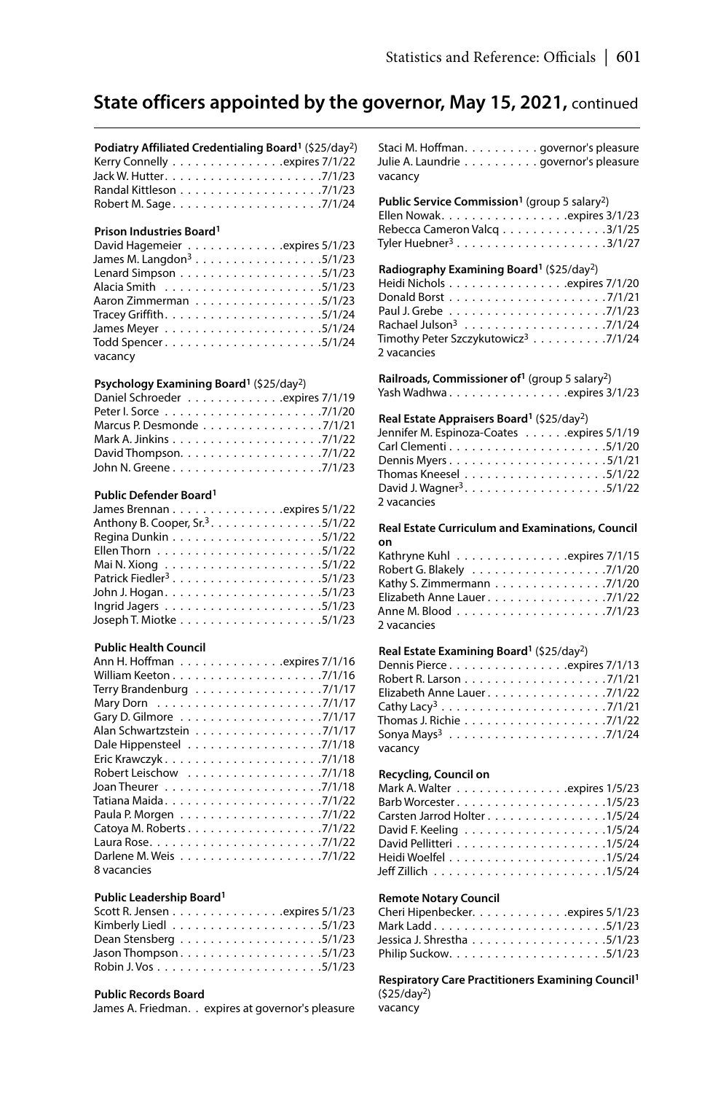| Podiatry Affiliated Credentialing Board <sup>1</sup> (\$25/day <sup>2</sup> ) |  |
|-------------------------------------------------------------------------------|--|
| Kerry Connelly expires 7/1/22                                                 |  |
|                                                                               |  |
|                                                                               |  |
| Robert M. Sage7/1/24                                                          |  |

### **Prison Industries Board1**

| David Hagemeier expires 5/1/23 |
|--------------------------------|
| James M. Langdon $3$ 5/1/23    |
|                                |
|                                |
| Aaron Zimmerman 5/1/23         |
|                                |
|                                |
|                                |
| vacancy                        |

### **Psychology Examining Board1** (\$25/day2)

| Daniel Schroeder expires 7/1/19                                      |  |  |  |
|----------------------------------------------------------------------|--|--|--|
|                                                                      |  |  |  |
| Marcus P. Desmonde 7/1/21                                            |  |  |  |
|                                                                      |  |  |  |
| David Thompson. $\ldots \ldots \ldots \ldots \ldots \ldots$ . 7/1/22 |  |  |  |
|                                                                      |  |  |  |

## **Public Defender Board1**

| James Brennan expires 5/1/22                 |
|----------------------------------------------|
| Anthony B. Cooper, Sr. <sup>3</sup> . 5/1/22 |
|                                              |
|                                              |
|                                              |
| Patrick Fiedler <sup>3</sup> 5/1/23          |
|                                              |
|                                              |
|                                              |
|                                              |

## **Public Health Council**

| Ann H. Hoffman expires 7/1/16                                        |
|----------------------------------------------------------------------|
|                                                                      |
| Terry Brandenburg $\ldots \ldots \ldots \ldots \ldots \ldots$ 7/1/17 |
|                                                                      |
|                                                                      |
| Alan Schwartzstein 7/1/17                                            |
|                                                                      |
|                                                                      |
|                                                                      |
|                                                                      |
|                                                                      |
|                                                                      |
|                                                                      |
|                                                                      |
|                                                                      |
| 8 vacancies                                                          |

## **Public Leadership Board1**

#### **Public Records Board**

James A. Friedman. . expires at governor's pleasure

Staci M. Hoffman. . . . . . . . . . governor's pleasure Julie A. Laundrie . . . . . . . . . . . governor's pleasure vacancy

## Public Service Commission<sup>1</sup> (group 5 salary<sup>2</sup>)

| Ellen Nowak. expires 3/1/23  |  |  |  |  |  |  |  |
|------------------------------|--|--|--|--|--|--|--|
| Rebecca Cameron Valcq 3/1/25 |  |  |  |  |  |  |  |
|                              |  |  |  |  |  |  |  |

#### **Radiography Examining Board1** (\$25/day2)

| Heidi Nichols expires 7/1/20                    |
|-------------------------------------------------|
|                                                 |
|                                                 |
|                                                 |
| Timothy Peter Szczykutowicz <sup>3</sup> 7/1/24 |
| 2 vacancies                                     |

**Railroads, Commissioner of1** (group 5 salary2) Yash Wadhwa. . . . . . . . . . . . . . . .expires 3/1/23

#### **Real Estate Appraisers Board1** (\$25/day2)

| Jennifer M. Espinoza-Coates expires 5/1/19 |  |
|--------------------------------------------|--|
|                                            |  |
|                                            |  |
|                                            |  |
|                                            |  |
| 2 vacancies                                |  |

**Real Estate Curriculum and Examinations, Council on**

| Kathryne Kuhl expires 7/1/15             |  |
|------------------------------------------|--|
| Robert G. Blakely 7/1/20                 |  |
| Kathy S. Zimmermann 7/1/20               |  |
| Elizabeth Anne Lauer7/1/22               |  |
| Anne M. Blood ....................7/1/23 |  |
| 2 vacancies                              |  |

## **Real Estate Examining Board1** (\$25/day2)

| Dennis Pierceexpires 7/1/13    |  |  |  |
|--------------------------------|--|--|--|
|                                |  |  |  |
| Elizabeth Anne Lauer7/1/22     |  |  |  |
| Cathy Lacy <sup>3</sup> 7/1/21 |  |  |  |
|                                |  |  |  |
|                                |  |  |  |
| vacancy                        |  |  |  |

#### **Recycling, Council on**

| Mark A. Walter expires 1/5/23                                                                      |
|----------------------------------------------------------------------------------------------------|
| Barb Worcester $\ldots$ , $\ldots$ , $\ldots$ , $\ldots$ , $\ldots$ , $\ldots$ , $\frac{1}{5}{23}$ |
| Carsten Jarrod Holter 1/5/24                                                                       |
|                                                                                                    |
|                                                                                                    |
|                                                                                                    |
|                                                                                                    |

### **Remote Notary Council**

| Cheri Hipenbecker. expires 5/1/23 |  |  |  |  |  |  |  |  |
|-----------------------------------|--|--|--|--|--|--|--|--|
| Mark Ladd5/1/23                   |  |  |  |  |  |  |  |  |
|                                   |  |  |  |  |  |  |  |  |
|                                   |  |  |  |  |  |  |  |  |

**Respiratory Care Practitioners Examining Council1** (\$25/day2)

vacancy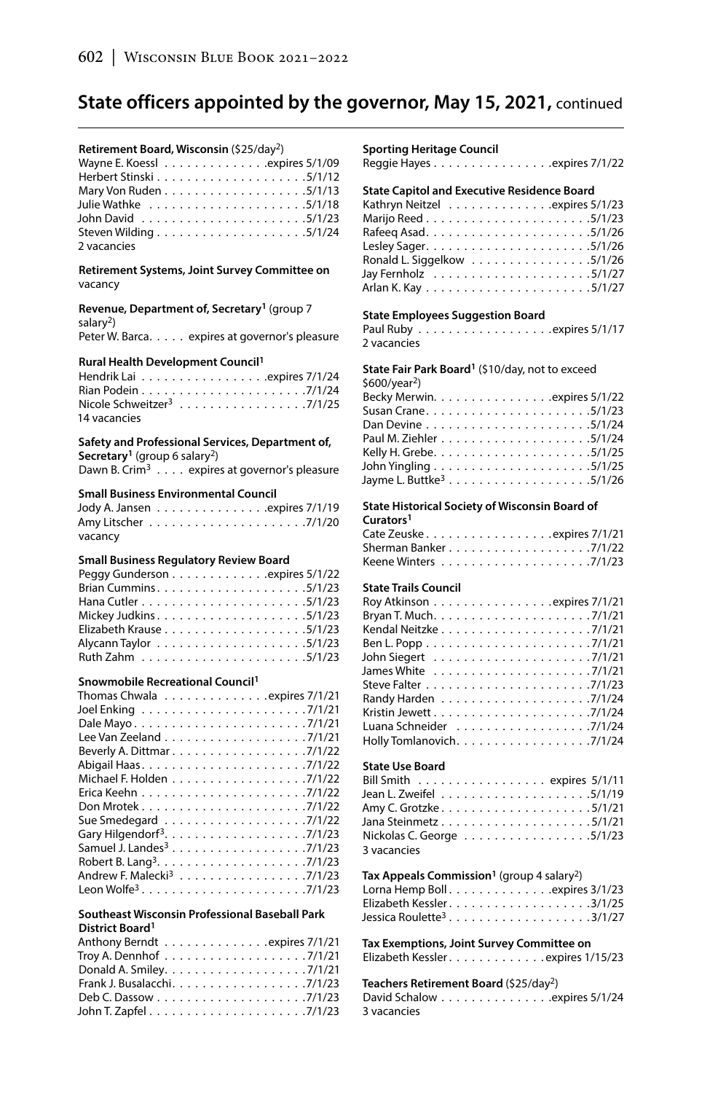#### **Retirement Board, Wisconsin** (\$25/day2)

| Wayne E. Koesslexpires 5/1/09            |  |  |  |  |  |  |  |  |  |  |  |
|------------------------------------------|--|--|--|--|--|--|--|--|--|--|--|
|                                          |  |  |  |  |  |  |  |  |  |  |  |
|                                          |  |  |  |  |  |  |  |  |  |  |  |
|                                          |  |  |  |  |  |  |  |  |  |  |  |
| John David .......................5/1/23 |  |  |  |  |  |  |  |  |  |  |  |
|                                          |  |  |  |  |  |  |  |  |  |  |  |
| 2 vacancies                              |  |  |  |  |  |  |  |  |  |  |  |

#### **Retirement Systems, Joint Survey Committee on** vacancy

**Revenue, Department of, Secretary1** (group 7 salary2)

Peter W. Barca. . . . . expires at governor's pleasure

#### **Rural Health Development Council1**

| Nicole Schweitzer <sup>3</sup> 7/1/25 |  |  |  |  |  |  |
|---------------------------------------|--|--|--|--|--|--|
| 14 vacancies                          |  |  |  |  |  |  |

## **Safety and Professional Services, Department of,**

**Secretary1** (group 6 salary2) Dawn B. Crim<sup>3</sup>  $\ldots$  expires at governor's pleasure

#### **Small Business Environmental Council**

| Jody A. Jansen expires 7/1/19 |  |  |  |  |  |  |  |  |  |  |  |
|-------------------------------|--|--|--|--|--|--|--|--|--|--|--|
|                               |  |  |  |  |  |  |  |  |  |  |  |
| vacancy                       |  |  |  |  |  |  |  |  |  |  |  |

### **Small Business Regulatory Review Board**

| Peggy Gunderson expires 5/1/22 |  |
|--------------------------------|--|
|                                |  |
|                                |  |
|                                |  |
|                                |  |
|                                |  |
|                                |  |

#### **Snowmobile Recreational Council1**

| Thomas Chwala expires 7/1/21          |  |
|---------------------------------------|--|
|                                       |  |
| Dale Mayo7/1/21                       |  |
|                                       |  |
| Beverly A. Dittmar 7/1/22             |  |
|                                       |  |
| Michael F. Holden 7/1/22              |  |
|                                       |  |
|                                       |  |
|                                       |  |
|                                       |  |
| Samuel J. Landes <sup>3</sup> 7/1/23  |  |
|                                       |  |
| Andrew F. Malecki <sup>3</sup> 7/1/23 |  |
|                                       |  |

#### **Southeast Wisconsin Professional Baseball Park District Board1**

| Anthony Berndt expires 7/1/21                                             |  |
|---------------------------------------------------------------------------|--|
| Troy A. Dennhof $\ldots \ldots \ldots \ldots \ldots \ldots \ldots \ldots$ |  |
|                                                                           |  |
|                                                                           |  |
|                                                                           |  |
|                                                                           |  |

#### **Sporting Heritage Council**

Reggie Hayes . . . . . . . . . . . . . . . . expires 7/1/22

### **State Capitol and Executive Residence Board**

| Kathryn Neitzel expires 5/1/23 |
|--------------------------------|
|                                |
|                                |
|                                |
| Ronald L. Siggelkow 5/1/26     |
|                                |
|                                |

#### **State Employees Suggestion Board**

Paul Ruby . expires 5/1/17 2 vacancies

## **State Fair Park Board1** (\$10/day, not to exceed

| $$600/year2$ )               |  |
|------------------------------|--|
| Becky Merwin. expires 5/1/22 |  |
|                              |  |
|                              |  |
|                              |  |
|                              |  |
|                              |  |
|                              |  |

## **State Historical Society of Wisconsin Board of**

| Curators <sup>1</sup>       |  |  |  |  |  |  |  |
|-----------------------------|--|--|--|--|--|--|--|
| Cate Zeuske. expires 7/1/21 |  |  |  |  |  |  |  |
|                             |  |  |  |  |  |  |  |
|                             |  |  |  |  |  |  |  |

### **State Trails Council**

| Roy Atkinson expires 7/1/21 |
|-----------------------------|
|                             |
|                             |
|                             |
|                             |
|                             |
|                             |
|                             |
|                             |
| Luana Schneider 7/1/24      |
| Holly Tomlanovich. 7/1/24   |

## **State Use Board**

| Bill Smith expires 5/1/11 |  |
|---------------------------|--|
|                           |  |
|                           |  |
|                           |  |
| Nickolas C. George 5/1/23 |  |
| 3 vacancies               |  |

## Tax Appeals Commission<sup>1</sup> (group 4 salary<sup>2</sup>)

| Lorna Hemp Boll. expires 3/1/23 |  |  |  |  |  |  |  |
|---------------------------------|--|--|--|--|--|--|--|
| Elizabeth Kessler3/1/25         |  |  |  |  |  |  |  |
|                                 |  |  |  |  |  |  |  |

**Tax Exemptions, Joint Survey Committee on** Elizabeth Kessler . . . . . . . . . . . . expires 1/15/23

#### **Teachers Retirement Board** (\$25/day2)

| 3 vacancies |  |  |  |  |  |  |  |  |
|-------------|--|--|--|--|--|--|--|--|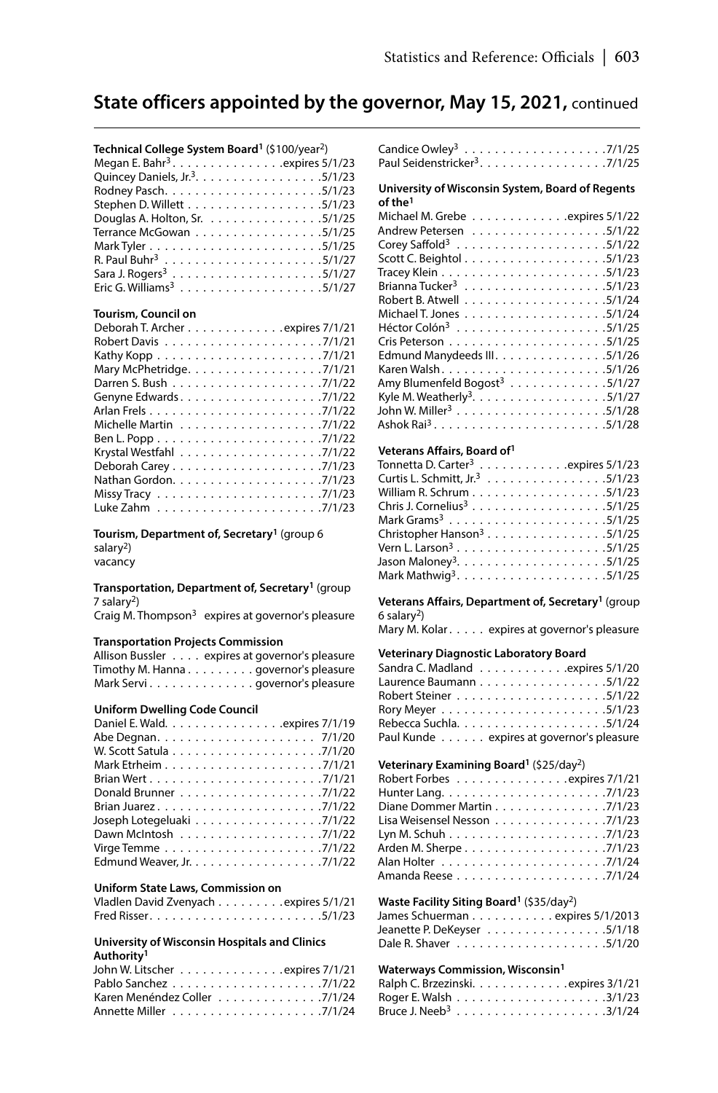#### **Technical College System Board1** (\$100/year2)

| Megan E. Bahr <sup>3</sup> . expires $5/1/23$ |
|-----------------------------------------------|
| Quincey Daniels, Jr. <sup>3</sup> . 5/1/23    |
|                                               |
|                                               |
| Douglas A. Holton, Sr. 5/1/25                 |
| Terrance McGowan 5/1/25                       |
|                                               |
|                                               |
|                                               |
|                                               |

#### **Tourism, Council on**

| Deborah T. Archer expires 7/1/21                                             |
|------------------------------------------------------------------------------|
|                                                                              |
|                                                                              |
| Mary McPhetridge. 7/1/21                                                     |
|                                                                              |
|                                                                              |
|                                                                              |
|                                                                              |
|                                                                              |
|                                                                              |
| Deborah Carey $\ldots \ldots \ldots \ldots \ldots \ldots \ldots$ . 7/1/23    |
|                                                                              |
| Missy Tracy $\ldots \ldots \ldots \ldots \ldots \ldots \ldots \ldots \ldots$ |
|                                                                              |

**Tourism, Department of, Secretary1** (group 6 salary<sup>2</sup>) vacancy

**Transportation, Department of, Secretary1** (group 7 salary2)

Craig M. Thompson $3$  expires at governor's pleasure

#### **Transportation Projects Commission**

| Allison Bussler expires at governor's pleasure |
|------------------------------------------------|
| Timothy M. Hanna governor's pleasure           |
| Mark Servi governor's pleasure                 |

#### **Uniform Dwelling Code Council**

#### **Uniform State Laws, Commission on**

| Vladlen David Zvenyach expires 5/1/21 |  |  |
|---------------------------------------|--|--|
|                                       |  |  |

#### **University of Wisconsin Hospitals and Clinics Authority1**

| John W. Litscher expires 7/1/21 |  |  |  |  |  |  |
|---------------------------------|--|--|--|--|--|--|
|                                 |  |  |  |  |  |  |
| Karen Menéndez Coller 7/1/24    |  |  |  |  |  |  |
|                                 |  |  |  |  |  |  |

| Paul Seidenstricker <sup>3</sup> . 7/1/25 |  |  |  |  |  |  |  |  |
|-------------------------------------------|--|--|--|--|--|--|--|--|

#### **University of Wisconsin System, Board of Regents of the1**

| Michael M. Grebe expires 5/1/22           |
|-------------------------------------------|
| Andrew Petersen 5/1/22                    |
|                                           |
|                                           |
|                                           |
|                                           |
|                                           |
|                                           |
|                                           |
|                                           |
| Edmund Manydeeds III. 5/1/26              |
|                                           |
| Amy Blumenfeld Bogost <sup>3</sup> 5/1/27 |
| Kyle M. Weatherly <sup>3</sup> . 5/1/27   |
|                                           |
|                                           |

#### **Veterans Affairs, Board of1**

| Tonnetta D. Carter <sup>3</sup> expires 5/1/23 |
|------------------------------------------------|
| Curtis L. Schmitt, Jr. <sup>3</sup> 5/1/23     |
|                                                |
|                                                |
|                                                |
| Christopher Hanson <sup>3</sup> 5/1/25         |
|                                                |
|                                                |
|                                                |

**Veterans Affairs, Department of, Secretary1** (group  $6$  salary<sup>2</sup>)

Mary M. Kolar . . . . . expires at governor's pleasure

### **Veterinary Diagnostic Laboratory Board**

| Sandra C. Madland expires 5/1/20          |  |
|-------------------------------------------|--|
| Laurence Baumann 5/1/22                   |  |
|                                           |  |
|                                           |  |
|                                           |  |
| Paul Kunde expires at governor's pleasure |  |

#### **Veterinary Examining Board1** (\$25/day2)

| Robert Forbes expires 7/1/21 |  |
|------------------------------|--|
|                              |  |
| Diane Dommer Martin 7/1/23   |  |
| Lisa Weisensel Nesson 7/1/23 |  |
|                              |  |
|                              |  |
|                              |  |
|                              |  |

#### **Waste Facility Siting Board1** (\$35/day2)

| James Schuerman expires 5/1/2013 |  |  |  |  |  |  |  |  |  |
|----------------------------------|--|--|--|--|--|--|--|--|--|
| Jeanette P. DeKeyser 5/1/18      |  |  |  |  |  |  |  |  |  |
|                                  |  |  |  |  |  |  |  |  |  |

### **Waterways Commission, Wisconsin1**

| Ralph C. Brzezinski. expires 3/1/21 |  |  |  |  |  |  |  |  |  |
|-------------------------------------|--|--|--|--|--|--|--|--|--|
|                                     |  |  |  |  |  |  |  |  |  |
|                                     |  |  |  |  |  |  |  |  |  |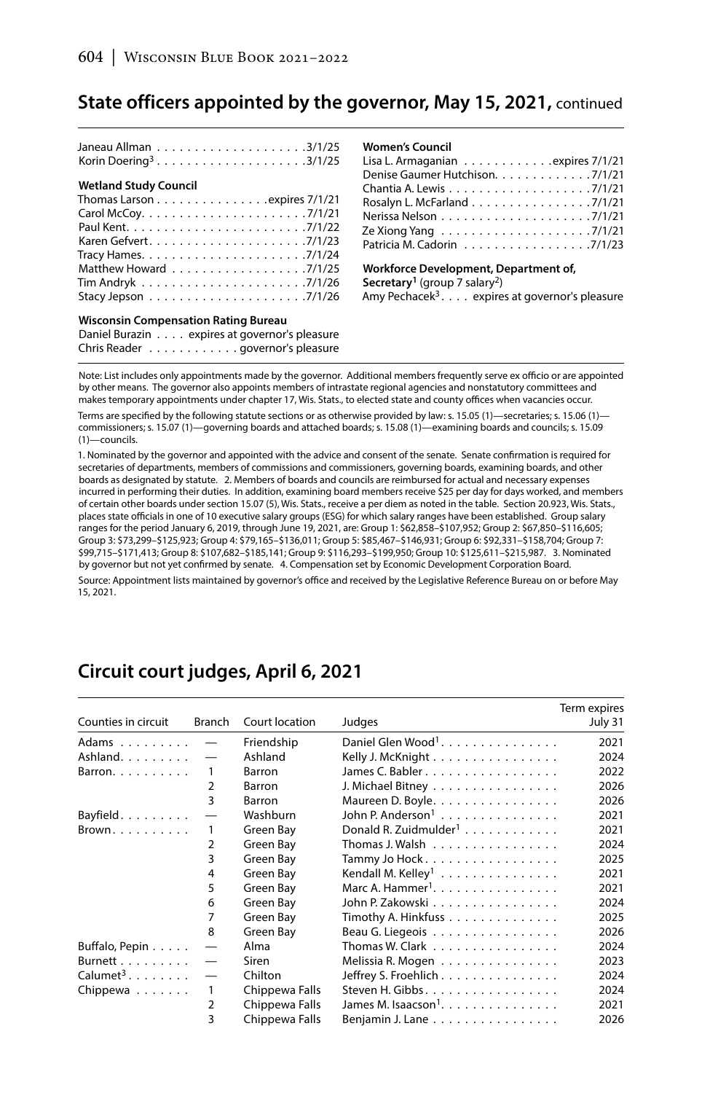| Korin Doering <sup>3</sup> 3/1/25                                             |
|-------------------------------------------------------------------------------|
| <b>Wetland Study Council</b>                                                  |
| Thomas Larson expires 7/1/21                                                  |
|                                                                               |
|                                                                               |
|                                                                               |
|                                                                               |
| Matthew Howard 7/1/25                                                         |
|                                                                               |
| Stacy Jepson $\ldots \ldots \ldots \ldots \ldots \ldots \ldots \ldots$ 7/1/26 |
|                                                                               |

### **Wisconsin Compensation Rating Bureau**

| Daniel Burazin expires at governor's pleasure |
|-----------------------------------------------|
| Chris Reader governor's pleasure              |

#### **Women's Council**

| Lisa L. Armaganian $\ldots \ldots \ldots \ldots$ expires 7/1/21 |  |
|-----------------------------------------------------------------|--|
| Denise Gaumer Hutchison. 7/1/21                                 |  |
|                                                                 |  |
| Rosalyn L. McFarland 7/1/21                                     |  |
|                                                                 |  |
|                                                                 |  |
| Patricia M. Cadorin 7/1/23                                      |  |
|                                                                 |  |

**Workforce Development, Department of, Secretary1** (group 7 salary2) Amy Pechacek3 . . . . expires at governor's pleasure

Note: List includes only appointments made by the governor. Additional members frequently serve ex officio or are appointed by other means. The governor also appoints members of intrastate regional agencies and nonstatutory committees and makes temporary appointments under chapter 17, Wis. Stats., to elected state and county offices when vacancies occur

Terms are specified by the following statute sections or as otherwise provided by law: s. 15.05 (1)—secretaries; s. 15.06 (1) commissioners; s. 15.07 (1)—governing boards and attached boards; s. 15.08 (1)—examining boards and councils; s. 15.09 (1)—councils.

1. Nominated by the governor and appointed with the advice and consent of the senate. Senate confirmation is required for secretaries of departments, members of commissions and commissioners, governing boards, examining boards, and other boards as designated by statute. 2. Members of boards and councils are reimbursed for actual and necessary expenses incurred in performing their duties. In addition, examining board members receive \$25 per day for days worked, and members of certain other boards under section 15.07 (5), Wis. Stats., receive a per diem as noted in the table. Section 20.923, Wis. Stats., places state officials in one of 10 executive salary groups (ESG) for which salary ranges have been established. Group salary ranges for the period January 6, 2019, through June 19, 2021, are: Group 1: \$62,858–\$107,952; Group 2: \$67,850–\$116,605; Group 3: \$73,299–\$125,923; Group 4: \$79,165–\$136,011; Group 5: \$85,467–\$146,931; Group 6: \$92,331–\$158,704; Group 7: \$99,715–\$171,413; Group 8: \$107,682–\$185,141; Group 9: \$116,293–\$199,950; Group 10: \$125,611–\$215,987. 3. Nominated by governor but not yet confirmed by senate. 4. Compensation set by Economic Development Corporation Board.

Source: Appointment lists maintained by governor's office and received by the Legislative Reference Bureau on or before May 15, 2021.

#### Counties in circuit Branch Court location Judges Term expires July 31 Adams . . . . . . . . — Friendship Daniel Glen Wood<sup>1</sup> . . . . . . . . . . . . . . . 2021 Ashland . . . . . . . . — Ashland Kelly J. McKnight . . . . . . . . . . . . . . . . 2024 Barron. . . . . . . . . 1 Barron James C. Babler . . . . . . . . . . . . . . . . . 2022 2 Barron J. Michael Bitney . . . . . . . . . . . . . . . . 2026 3 Barron Maureen D. Boyle . . . . . . . . . . . . . . . . 2026 Bayfield . . . . . . . . . . - Washburn John P. Anderson<sup>1</sup> . . . . . . . . . . . . . . . . 2021 Brown . . . . . . . . 1 Green Bay Donald R. Zuidmulder<sup>1</sup> . . . . . . . . . . . . . 2021 2 Green Bay Thomas J. Walsh . . . . . . . . . . . . . . . 2024<br>3 Green Bay Tammy Jo Hock . . . . . . . . . . . . . . . 2025 Green Bay Tammy Jo Hock . . . . . . . . . . . . . . . . 2025 4 Green Bay Kendall M. Kelley<sup>1</sup> . . . . . . . . . . . . . . 2021 5 Green Bay Marc A. Hammer<sup>1</sup>. . . . . . . . . . . . . . . 2021 6 Green Bay John P. Zakowski . . . . . . . . . . . . . . . . 2024 7 Green Bay Timothy A. Hinkfuss . . . . . . . . . . . . . . 2025 8 Green Bay Beau G. Liegeois . . . . . . . . . . . . . . 2026 Buffalo, Pepin . . . . . — Alma Thomas W. Clark . . . . . . . . . . . . . . . . 2024  $Burnett$ .........  $\qquad$  Siren Melissia R. Mogen .................. 2023<br>Calumet<sup>3</sup>........  $\qquad$  Chilton Jeffrey S. Froehlich.................. 2024 Chilton Jeffrey S. Froehlich . . . . . . . . . . . . . . . 2024 Chippewa . . . . . . . 1 Chippewa Falls Steven H. Gibbs . . . . . . . . . . . . . . . . . 2024 Chippewa Falls James M. Isaacson<sup>1</sup>. . . . . . . . . . . . . . . . 2021 3 Chippewa Falls Benjamin J. Lane . . . . . . . . . . . . . . . . 2026

## **Circuit court judges, April 6, 2021**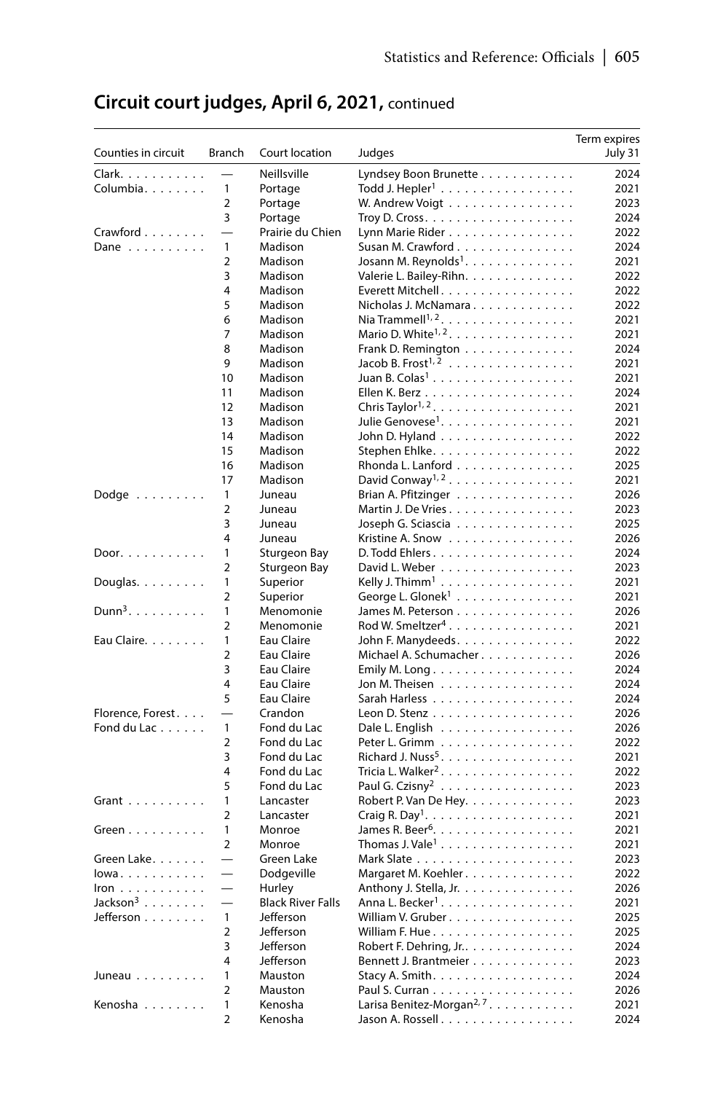| Counties in circuit         | Branch                   | Court location           | Judges                                                                      | Term expires<br>July 31 |
|-----------------------------|--------------------------|--------------------------|-----------------------------------------------------------------------------|-------------------------|
| Clark.                      |                          | Neillsville              | Lyndsey Boon Brunette                                                       | 2024                    |
| Columbia.                   | $\mathbf{1}$             | Portage                  | Todd J. Hepler <sup>1</sup>                                                 | 2021                    |
|                             | $\overline{2}$           | Portage                  | W. Andrew Voigt                                                             | 2023                    |
|                             | 3                        | Portage                  | Troy D. Cross. $\dots \dots \dots \dots \dots \dots \dots$                  | 2024                    |
| Crawford                    |                          | Prairie du Chien         | Lynn Marie Rider                                                            | 2022                    |
| Dane $\dots \dots \dots$    | 1                        | Madison                  | Susan M. Crawford                                                           | 2024                    |
|                             | $\overline{2}$           | Madison                  | Josann M. Reynolds <sup>1</sup> .                                           | 2021                    |
|                             | 3                        | Madison                  | Valerie L. Bailey-Rihn.                                                     | 2022                    |
|                             | 4                        | Madison                  | Everett Mitchell.                                                           | 2022                    |
|                             | 5                        | Madison                  | Nicholas J. McNamara                                                        | 2022                    |
|                             | 6                        | Madison                  | Nia Trammell <sup>1, 2</sup> .                                              | 2021                    |
|                             | 7                        | Madison                  | Mario D. White <sup><math>1, 2, \ldots, \ldots, \ldots, \ldots</math></sup> | 2021                    |
|                             | 8                        | Madison                  | Frank D. Remington                                                          | 2024                    |
|                             | 9                        | Madison                  | Jacob B. Frost <sup><math>1, 2</math></sup>                                 | 2021                    |
|                             | 10                       | Madison                  | Juan B. Colas <sup>1</sup>                                                  | 2021                    |
|                             | 11                       | Madison                  |                                                                             | 2024                    |
|                             | 12                       | Madison                  |                                                                             | 2021                    |
|                             | 13                       | Madison                  | Julie Genovese <sup>1</sup> .                                               | 2021                    |
|                             | 14                       | Madison                  | John D. Hyland                                                              | 2022                    |
|                             | 15                       | Madison                  | Stephen Ehlke.                                                              | 2022                    |
|                             | 16                       | Madison                  | Rhonda L. Lanford                                                           | 2025                    |
|                             | 17                       | Madison                  | David Conway <sup>1, 2</sup>                                                | 2021                    |
| Dodge                       | 1                        | Juneau                   | Brian A. Pfitzinger                                                         | 2026                    |
|                             | $\overline{2}$           | Juneau                   | Martin J. De Vries                                                          | 2023                    |
|                             | 3                        | Juneau                   | Joseph G. Sciascia                                                          | 2025                    |
|                             | 4                        | Juneau                   | Kristine A. Snow                                                            | 2026                    |
| Door.                       | 1                        | <b>Sturgeon Bay</b>      | D. Todd Ehlers.                                                             | 2024                    |
|                             | $\overline{2}$           | Sturgeon Bay             | David L. Weber                                                              | 2023                    |
| Douglas. $\ldots$ .         | 1                        | Superior                 | Kelly J. Thimm <sup>1</sup>                                                 | 2021                    |
|                             | $\overline{2}$           | Superior                 | George L. Glonek <sup>1</sup>                                               | 2021                    |
| $Dunn3$ .                   | 1                        | Menomonie                | James M. Peterson                                                           | 2026                    |
|                             | $\overline{2}$           | Menomonie                | Rod W. Smeltzer <sup>4</sup>                                                | 2021                    |
| Eau Claire.                 | 1                        | Eau Claire               | John F. Manydeeds.                                                          | 2022                    |
|                             | $\overline{2}$           | Eau Claire               | Michael A. Schumacher                                                       | 2026                    |
|                             | 3<br>4                   | Eau Claire<br>Eau Claire | Emily M. Long                                                               | 2024<br>2024            |
|                             | 5                        | Eau Claire               | Jon M. Theisen                                                              | 2024                    |
| Florence, Forest.           |                          | Crandon                  | Sarah Harless<br>Leon D. Stenz                                              | 2026                    |
| Fond du Lac                 | $\mathbf{1}$             | Fond du Lac              |                                                                             | 2026                    |
|                             | $\overline{2}$           | Fond du Lac              | Dale L. English<br>Peter L. Grimm                                           | 2022                    |
|                             | 3                        | Fond du Lac              | Richard J. Nuss <sup>5</sup> .                                              | 2021                    |
|                             | $\overline{4}$           | Fond du Lac              | Tricia L. Walker <sup>2</sup> .                                             | 2022                    |
|                             | 5                        | Fond du Lac              | Paul G. Czisny <sup>2</sup>                                                 | 2023                    |
| Grant $\ldots$              | $\mathbf{1}$             | Lancaster                | Robert P. Van De Hey.                                                       | 2023                    |
|                             | $\overline{2}$           | Lancaster                |                                                                             | 2021                    |
| Green                       | $\mathbf{1}$             | Monroe                   | James R. Beer <sup>6</sup> .                                                | 2021                    |
|                             | $\overline{2}$           | Monroe                   | Thomas J. Vale <sup>1</sup>                                                 | 2021                    |
| Green Lake.                 |                          | Green Lake               |                                                                             | 2023                    |
| lowa                        |                          | Dodgeville               | Margaret M. Koehler.                                                        | 2022                    |
| Iron $\ldots \ldots \ldots$ |                          | Hurley                   | Anthony J. Stella, Jr.                                                      | 2026                    |
| Jackson $3$                 | $\overline{\phantom{0}}$ | <b>Black River Falls</b> | Anna L. Becker <sup>1</sup> .                                               | 2021                    |
| Jefferson                   | $\mathbf{1}$             | Jefferson                | William V. Gruber                                                           | 2025                    |
|                             | $\overline{2}$           | Jefferson                |                                                                             | 2025                    |
|                             | 3                        | Jefferson                | Robert F. Dehring, Jr                                                       | 2024                    |
|                             | 4                        | Jefferson                | Bennett J. Brantmeier                                                       | 2023                    |
| Juneau                      | 1                        | Mauston                  | Stacy A. Smith. $\ldots \ldots \ldots \ldots \ldots$                        | 2024                    |
|                             | $\overline{2}$           | Mauston                  |                                                                             | 2026                    |
| Kenosha                     | 1                        | Kenosha                  | Larisa Benitez-Morgan <sup>2, 7</sup> .                                     | 2021                    |
|                             | $\overline{a}$           | Kenosha                  | Jason A. Rossell                                                            | 2024                    |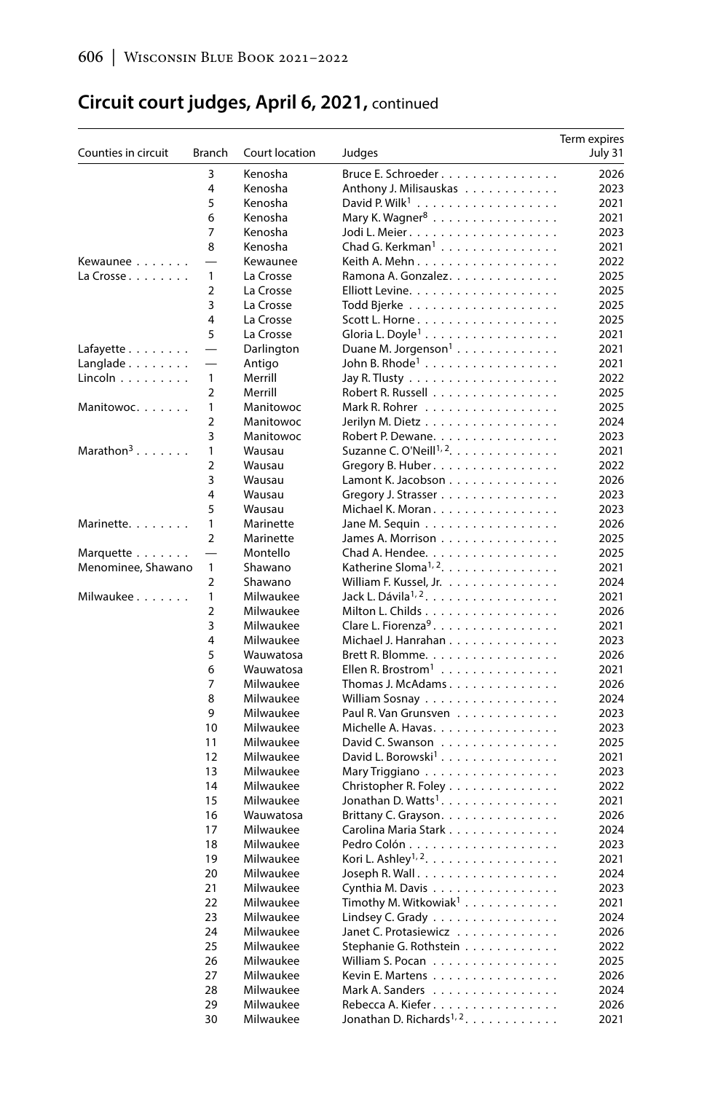| Counties in circuit         | Branch                   | Court location | Judges                                             | Term expires<br>July 31 |
|-----------------------------|--------------------------|----------------|----------------------------------------------------|-------------------------|
|                             | 3                        | Kenosha        | Bruce E. Schroeder                                 | 2026                    |
|                             | 4                        | Kenosha        | Anthony J. Milisauskas                             | 2023                    |
|                             | 5                        | Kenosha        |                                                    | 2021                    |
|                             | 6                        | Kenosha        | Mary K. Wagner $8$                                 | 2021                    |
|                             | 7                        | Kenosha        | Jodi L. Meier.                                     | 2023                    |
|                             | 8                        | Kenosha        | Chad G. Kerkman <sup>1</sup>                       | 2021                    |
| Kewaunee                    |                          | Kewaunee       | Keith A. Mehn. $\ldots$ .                          | 2022                    |
| La Crosse $\ldots$          | $\mathbf{1}$             | La Crosse      | Ramona A. Gonzalez.                                | 2025                    |
|                             | $\overline{2}$           | La Crosse      | Elliott Levine.                                    | 2025                    |
|                             | 3                        | La Crosse      |                                                    | 2025                    |
|                             | 4                        | La Crosse      | Scott L. Horne.                                    | 2025                    |
|                             | 5                        | La Crosse      | Gloria L. Doyle <sup>1</sup>                       | 2021                    |
| Lafayette                   |                          | Darlington     | Duane M. Jorgenson <sup>1</sup>                    | 2021                    |
| $L$ anglade $\ldots \ldots$ |                          | Antigo         | John B. Rhode <sup>1</sup>                         | 2021                    |
| Lincoln $\dots \dots \dots$ | $\mathbf{1}$             | Merrill        | Jay R. Tlusty $\ldots \ldots \ldots \ldots \ldots$ | 2022                    |
|                             | $\overline{2}$           | Merrill        | Robert R. Russell                                  | 2025                    |
| Manitowoc.                  | 1                        | Manitowoc      | Mark R. Rohrer                                     | 2025                    |
|                             | $\overline{2}$           | Manitowoc      | Jerilyn M. Dietz                                   | 2024                    |
|                             | 3                        | Manitowoc      | Robert P. Dewane.                                  | 2023                    |
| Marathon <sup>3</sup>       | $\mathbf{1}$             | Wausau         | Suzanne C. O'Neill <sup>1, 2</sup> .               | 2021                    |
|                             | $\overline{2}$           | Wausau         | Gregory B. Huber.                                  | 2022                    |
|                             | 3                        | Wausau         | Lamont K. Jacobson                                 | 2026                    |
|                             | 4                        | Wausau         | Gregory J. Strasser                                | 2023                    |
|                             | 5                        | Wausau         | Michael K. Moran                                   | 2023                    |
| Marinette.                  | $\mathbf{1}$             | Marinette      | Jane M. Sequin                                     | 2026                    |
|                             | $\overline{2}$           | Marinette      | James A. Morrison                                  | 2025                    |
| Marquette                   | $\overline{\phantom{0}}$ | Montello       | Chad A. Hendee.                                    | 2025                    |
| Menominee, Shawano          | $\mathbf{1}$             | Shawano        | Katherine Sloma <sup>1, 2</sup> .                  | 2021                    |
|                             | $\overline{2}$           | Shawano        | William F. Kussel, Jr.                             | 2024                    |
| Milwaukee                   | $\mathbf{1}$             | Milwaukee      | Jack L. Dávila <sup>1, 2</sup> .                   | 2021                    |
|                             | $\overline{2}$           | Milwaukee      | Milton L. Childs                                   | 2026                    |
|                             | 3                        | Milwaukee      | Clare L. Fiorenza <sup>9</sup> .                   | 2021                    |
|                             | 4                        | Milwaukee      | Michael J. Hanrahan                                | 2023                    |
|                             | 5                        | Wauwatosa      | Brett R. Blomme.                                   | 2026                    |
|                             | 6                        | Wauwatosa      | Ellen R. Brostrom <sup>1</sup>                     | 2021                    |
|                             | 7                        | Milwaukee      | Thomas J. McAdams                                  | 2026                    |
|                             | 8                        | Milwaukee      | William Sosnay                                     | 2024                    |
|                             | 9                        | Milwaukee      | Paul R. Van Grunsven                               | 2023                    |
|                             | 10                       | Milwaukee      | Michelle A. Havas.                                 | 2023                    |
|                             | 11                       | Milwaukee      | David C. Swanson                                   | 2025                    |
|                             | 12                       | Milwaukee      | David L. Borowski <sup>1</sup> .                   | 2021                    |
|                             | 13                       | Milwaukee      | Mary Triggiano                                     | 2023                    |
|                             | 14                       | Milwaukee      | Christopher R. Foley                               | 2022                    |
|                             | 15                       | Milwaukee      | Jonathan D. Watts <sup>1</sup> .                   | 2021                    |
|                             | 16                       | Wauwatosa      | Brittany C. Grayson.                               | 2026                    |
|                             | 17                       | Milwaukee      | Carolina Maria Stark                               | 2024                    |
|                             | 18                       | Milwaukee      |                                                    | 2023                    |
|                             | 19                       | Milwaukee      | Kori L. Ashley <sup>1, 2</sup> .                   | 2021                    |
|                             | 20                       | Milwaukee      | Joseph R. Wall. $\ldots$ .                         | 2024                    |
|                             | 21                       | Milwaukee      | Cynthia M. Davis                                   | 2023                    |
|                             | 22                       | Milwaukee      | Timothy M. Witkowiak <sup>1</sup>                  | 2021                    |
|                             | 23                       | Milwaukee      | Lindsey C. Grady                                   | 2024                    |
|                             | 24                       | Milwaukee      | Janet C. Protasiewicz                              | 2026                    |
|                             | 25                       | Milwaukee      | Stephanie G. Rothstein                             | 2022                    |
|                             | 26                       | Milwaukee      | William S. Pocan                                   | 2025                    |
|                             | 27                       | Milwaukee      | Kevin E. Martens                                   | 2026                    |
|                             | 28                       | Milwaukee      | Mark A. Sanders                                    | 2024                    |
|                             | 29                       | Milwaukee      | Rebecca A. Kiefer.                                 | 2026                    |
|                             | 30                       | Milwaukee      | Jonathan D. Richards <sup>1, 2</sup> .             | 2021                    |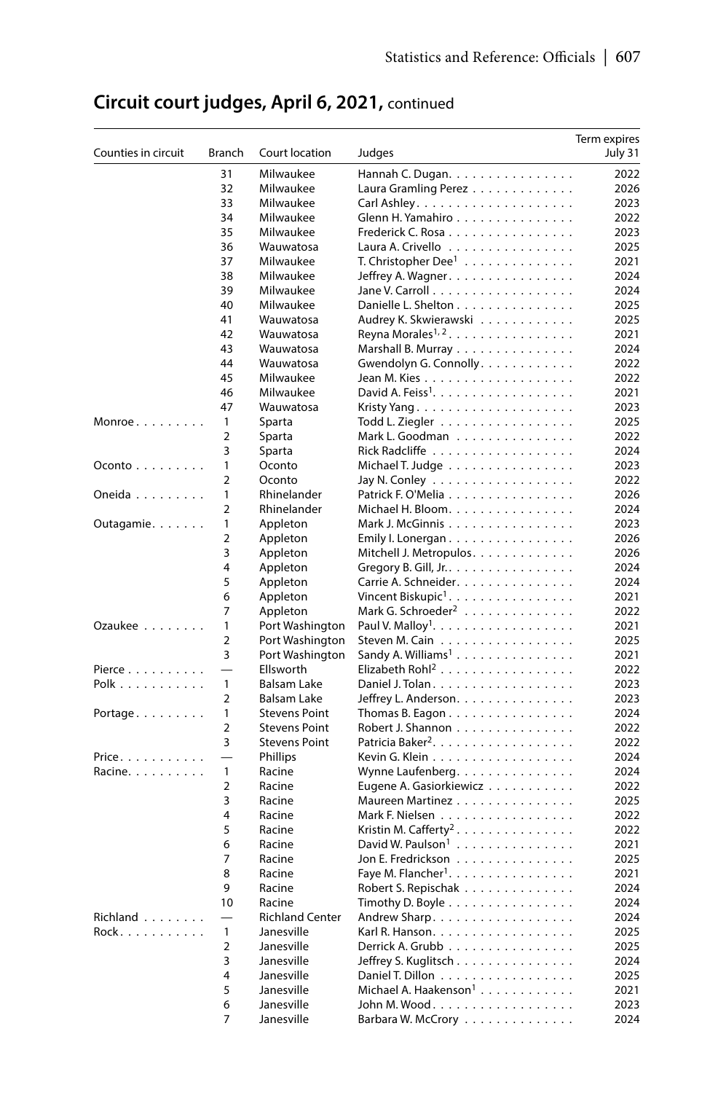| Counties in circuit | Branch         | Court location                      | Judges                                                                    | Term expires<br>July 31 |
|---------------------|----------------|-------------------------------------|---------------------------------------------------------------------------|-------------------------|
|                     | 31             | Milwaukee                           | Hannah C. Dugan.                                                          | 2022                    |
|                     | 32             | Milwaukee                           | Laura Gramling Perez                                                      | 2026                    |
|                     | 33             | Milwaukee                           |                                                                           | 2023                    |
|                     | 34             | Milwaukee                           | Glenn H. Yamahiro                                                         | 2022                    |
|                     | 35             | Milwaukee                           | Frederick C. Rosa                                                         | 2023                    |
|                     | 36             | Wauwatosa                           | Laura A. Crivello                                                         | 2025                    |
|                     | 37             | Milwaukee                           | T. Christopher Dee <sup>1</sup>                                           | 2021                    |
|                     | 38             | Milwaukee                           | Jeffrey A. Wagner.                                                        | 2024                    |
|                     | 39             | Milwaukee                           |                                                                           | 2024                    |
|                     | 40             | Milwaukee                           | Danielle L. Shelton                                                       | 2025                    |
|                     | 41             | Wauwatosa                           | Audrey K. Skwierawski                                                     | 2025                    |
|                     | 42             | Wauwatosa                           | Reyna Morales <sup>1, 2</sup>                                             | 2021                    |
|                     | 43             | Wauwatosa                           | Marshall B. Murray                                                        | 2024                    |
|                     | 44             | Wauwatosa                           | Gwendolyn G. Connolly.                                                    | 2022                    |
|                     | 45             | Milwaukee                           | Jean M. Kies                                                              | 2022                    |
|                     | 46             | Milwaukee                           | David A. Feiss <sup>1</sup> . $\ldots$ .                                  | 2021                    |
|                     | 47             | Wauwatosa                           | Kristy Yang                                                               | 2023                    |
| $Monroe \ldots$     | 1              | Sparta                              | Todd L. Ziegler                                                           | 2025                    |
|                     | $\overline{2}$ | Sparta                              | Mark L. Goodman                                                           | 2022                    |
|                     | 3              | Sparta                              |                                                                           | 2024                    |
| Oconto              | 1              | Oconto                              | Michael T. Judge                                                          | 2023                    |
|                     | $\overline{2}$ | Oconto                              | Jay N. Conley                                                             | 2022                    |
| Oneida              | 1              | Rhinelander                         | Patrick F. O'Melia                                                        | 2026                    |
|                     | $\overline{2}$ | Rhinelander                         | Michael H. Bloom.                                                         | 2024                    |
| Outagamie           | 1              | Appleton                            | Mark J. McGinnis                                                          | 2023                    |
|                     | $\overline{2}$ | Appleton                            | Emily I. Lonergan.                                                        | 2026                    |
|                     | 3              | Appleton                            | Mitchell J. Metropulos.                                                   | 2026                    |
|                     | 4              | Appleton                            | Gregory B. Gill, Jr.                                                      | 2024                    |
|                     | 5              | Appleton                            | Carrie A. Schneider.                                                      | 2024                    |
|                     | 6              | Appleton                            | Vincent Biskupic <sup>1</sup> .                                           | 2021                    |
|                     | 7              | Appleton                            | Mark G. Schroeder <sup>2</sup>                                            | 2022                    |
| Ozaukee             | $\mathbf{1}$   | Port Washington                     | Paul V. Malloy <sup>1</sup> . $\ldots \ldots \ldots \ldots \ldots \ldots$ | 2021                    |
|                     | $\overline{2}$ | Port Washington                     | Steven M. Cain                                                            | 2025                    |
|                     | 3              | Port Washington                     | Sandy A. Williams <sup>1</sup>                                            | 2021                    |
| Pierce              | $\mathbf{1}$   | Ellsworth                           | Elizabeth Rohl <sup>2</sup>                                               | 2022                    |
| Polk                | $\overline{2}$ | Balsam Lake                         | Daniel J. Tolan.                                                          | 2023                    |
|                     | 1              | Balsam Lake<br><b>Stevens Point</b> | Jeffrey L. Anderson.                                                      | 2023<br>2024            |
| Portage             | $\overline{2}$ | <b>Stevens Point</b>                | Thomas B. Eagon. $\ldots$ .<br>Robert J. Shannon                          | 2022                    |
|                     | 3              | <b>Stevens Point</b>                | Patricia Baker <sup>2</sup> .                                             | 2022                    |
| Price.              |                | Phillips                            | Kevin G. Klein                                                            | 2024                    |
| Racine.             | $\mathbf{1}$   | Racine                              | Wynne Laufenberg.                                                         | 2024                    |
|                     | $\overline{2}$ | Racine                              | Eugene A. Gasiorkiewicz                                                   | 2022                    |
|                     | 3              | Racine                              | Maureen Martinez                                                          | 2025                    |
|                     | 4              | Racine                              | Mark F. Nielsen                                                           | 2022                    |
|                     | 5              | Racine                              | Kristin M. Cafferty <sup>2</sup>                                          | 2022                    |
|                     | 6              | Racine                              | David W. Paulson <sup>1</sup>                                             | 2021                    |
|                     | 7              | Racine                              | Jon E. Fredrickson                                                        | 2025                    |
|                     | 8              | Racine                              | Faye M. Flancher <sup>1</sup> . $\ldots \ldots \ldots \ldots \ldots$      | 2021                    |
|                     | 9              | Racine                              | Robert S. Repischak                                                       | 2024                    |
|                     | 10             | Racine                              | Timothy D. Boyle $\dots \dots \dots \dots \dots$                          | 2024                    |
| Richland            |                | <b>Richland Center</b>              | Andrew Sharp.                                                             | 2024                    |
| Rock.               | 1              | Janesville                          | Karl R. Hanson.                                                           | 2025                    |
|                     | $\overline{2}$ | Janesville                          | Derrick A. Grubb                                                          | 2025                    |
|                     | 3              | Janesville                          | Jeffrey S. Kuglitsch                                                      | 2024                    |
|                     | 4              | Janesville                          | Daniel T. Dillon                                                          | 2025                    |
|                     | 5              | Janesville                          | Michael A. Haakenson <sup>1</sup>                                         | 2021                    |
|                     | 6              | Janesville                          | John M. Wood.                                                             | 2023                    |
|                     |                | Janesville                          | Barbara W. McCrory                                                        | 2024                    |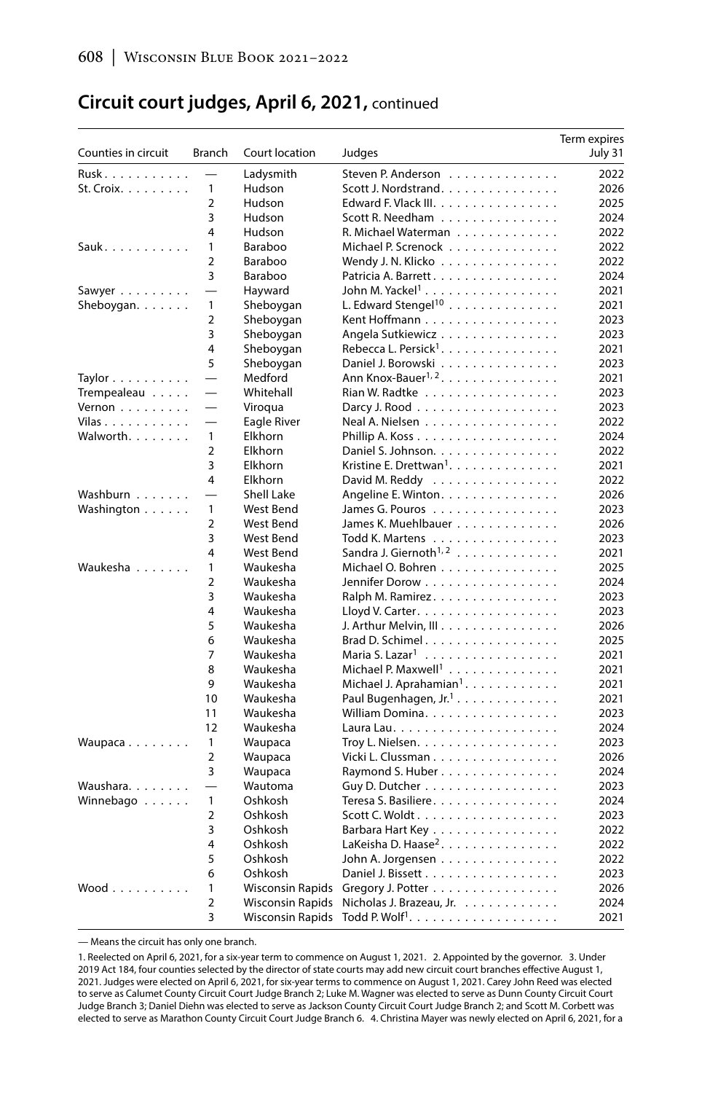| Counties in circuit         | Branch                   | Court location          | Judges                                | Term expires<br>July 31 |
|-----------------------------|--------------------------|-------------------------|---------------------------------------|-------------------------|
| Rusk.                       |                          | Ladysmith               | Steven P. Anderson                    | 2022                    |
| $St.$ Croix. $\ldots$       | 1                        | Hudson                  | Scott J. Nordstrand.                  | 2026                    |
|                             | $\overline{2}$           | Hudson                  | Edward F. Vlack III.                  | 2025                    |
|                             | 3                        | Hudson                  | Scott R. Needham                      | 2024                    |
|                             | 4                        | Hudson                  | R. Michael Waterman                   | 2022                    |
| Sauk.                       | 1                        | Baraboo                 | Michael P. Screnock                   | 2022                    |
|                             | $\overline{2}$           | Baraboo                 | Wendy J. N. Klicko                    | 2022                    |
|                             | 3                        | Baraboo                 | Patricia A. Barrett.                  | 2024                    |
| Sawyer                      | $\overline{\phantom{0}}$ | Hayward                 | John M. Yackel <sup>1</sup>           | 2021                    |
| Sheboygan. $\ldots$ .       | $\mathbf{1}$             | Sheboygan               | L. Edward Stengel <sup>10</sup>       | 2021                    |
|                             | $\overline{2}$           | Sheboygan               | Kent Hoffmann                         | 2023                    |
|                             | 3                        | Sheboygan               | Angela Sutkiewicz                     | 2023                    |
|                             | 4                        | Sheboygan               | Rebecca L. Persick <sup>1</sup> .     | 2021                    |
|                             | 5                        | Sheboygan               | Daniel J. Borowski                    | 2023                    |
| Taylor                      | $\equiv$                 | Medford                 | Ann Knox-Bauer <sup>1, 2</sup> .      | 2021                    |
| Trempealeau                 | $\overline{\phantom{0}}$ | Whitehall               | Rian W. Radtke                        | 2023                    |
| Vernon $\ldots$             | $\overline{\phantom{0}}$ | Viroqua                 | Darcy J. Rood                         | 2023                    |
| Vilas                       | $\overline{\phantom{0}}$ | Eagle River             | Neal A. Nielsen                       | 2022                    |
| Walworth.                   | $\mathbf{1}$             | Elkhorn                 | Phillip A. Koss                       | 2024                    |
|                             | $\overline{2}$           | Elkhorn                 | Daniel S. Johnson.                    | 2022                    |
|                             | 3                        | Elkhorn                 | Kristine E. Drettwan <sup>1</sup> .   | 2021                    |
|                             | 4                        | Elkhorn                 | David M. Reddy                        | 2022                    |
| Washburn                    |                          | Shell Lake              | Angeline E. Winton.                   | 2026                    |
| Washington                  | $\mathbf{1}$             | West Bend               | James G. Pouros $\ldots$ ,            | 2023                    |
|                             | $\overline{2}$           | West Bend               | James K. Muehlbauer                   | 2026                    |
|                             | 3                        | West Bend               | Todd K. Martens                       | 2023                    |
|                             | 4                        | West Bend               | Sandra J. Giernoth <sup>1,2</sup>     | 2021                    |
| Waukesha                    | 1                        | Waukesha                | Michael O. Bohren                     | 2025                    |
|                             | $\overline{2}$           | Waukesha                | Jennifer Dorow                        | 2024                    |
|                             | 3                        | Waukesha                |                                       | 2023                    |
|                             | 4                        | Waukesha                | Ralph M. Ramirez.<br>Lloyd V. Carter. | 2023                    |
|                             | 5                        | Waukesha                | J. Arthur Melvin, III                 | 2026                    |
|                             | 6                        | Waukesha                | Brad D. Schimel                       | 2025                    |
|                             | 7                        | Waukesha                |                                       | 2021                    |
|                             |                          |                         | Maria S. Lazar <sup>1</sup>           |                         |
|                             | 8<br>9                   | Waukesha                | Michael P. Maxwell <sup>1</sup>       | 2021                    |
|                             |                          | Waukesha                | Michael J. Aprahamian <sup>1</sup> .  | 2021                    |
|                             | 10                       | Waukesha                | Paul Bugenhagen, Jr. <sup>1</sup> .   | 2021                    |
|                             | 11                       | Waukesha                | William Domina.                       | 2023                    |
|                             | 12                       | Waukesha                |                                       | 2024                    |
| Waupaca                     | 1                        | Waupaca                 | Troy L. Nielsen.                      | 2023                    |
|                             | $\overline{2}$           | Waupaca                 | Vicki L. Clussman                     | 2026                    |
|                             | 3                        | Waupaca                 | Raymond S. Huber                      | 2024                    |
| Waushara.                   | $\equiv$                 | Wautoma                 | Guy D. Dutcher                        | 2023                    |
| Winnebago                   | $\mathbf{1}$             | Oshkosh                 | Teresa S. Basiliere.                  | 2024                    |
|                             | $\overline{2}$           | Oshkosh                 | Scott C. Woldt                        | 2023                    |
|                             | 3                        | Oshkosh                 | Barbara Hart Key                      | 2022                    |
|                             | 4                        | Oshkosh                 | LaKeisha D. Haase <sup>2</sup> .      | 2022                    |
|                             | 5                        | Oshkosh                 | John A. Jorgensen                     | 2022                    |
|                             | 6                        | Oshkosh                 | Daniel J. Bissett                     | 2023                    |
| $Wood \ldots \ldots \ldots$ | 1                        | <b>Wisconsin Rapids</b> | Gregory J. Potter                     | 2026                    |
|                             | $\overline{2}$           | Wisconsin Rapids        | Nicholas J. Brazeau, Jr.              | 2024                    |
|                             | 3                        | Wisconsin Rapids        | Todd P. Wolf <sup>1</sup> . $\ldots$  | 2021                    |

— Means the circuit has only one branch.

<sup>1.</sup> Reelected on April 6, 2021, for a six-year term to commence on August 1, 2021. 2. Appointed by the governor. 3. Under 2019 Act 184, four counties selected by the director of state courts may add new circuit court branches effective August 1, 2021. Judges were elected on April 6, 2021, for six-year terms to commence on August 1, 2021. Carey John Reed was elected to serve as Calumet County Circuit Court Judge Branch 2; Luke M. Wagner was elected to serve as Dunn County Circuit Court Judge Branch 3; Daniel Diehn was elected to serve as Jackson County Circuit Court Judge Branch 2; and Scott M. Corbett was<br>elected to serve as Marathon County Circuit Court Judge Branch 6. 4. Christina Mayer was newly el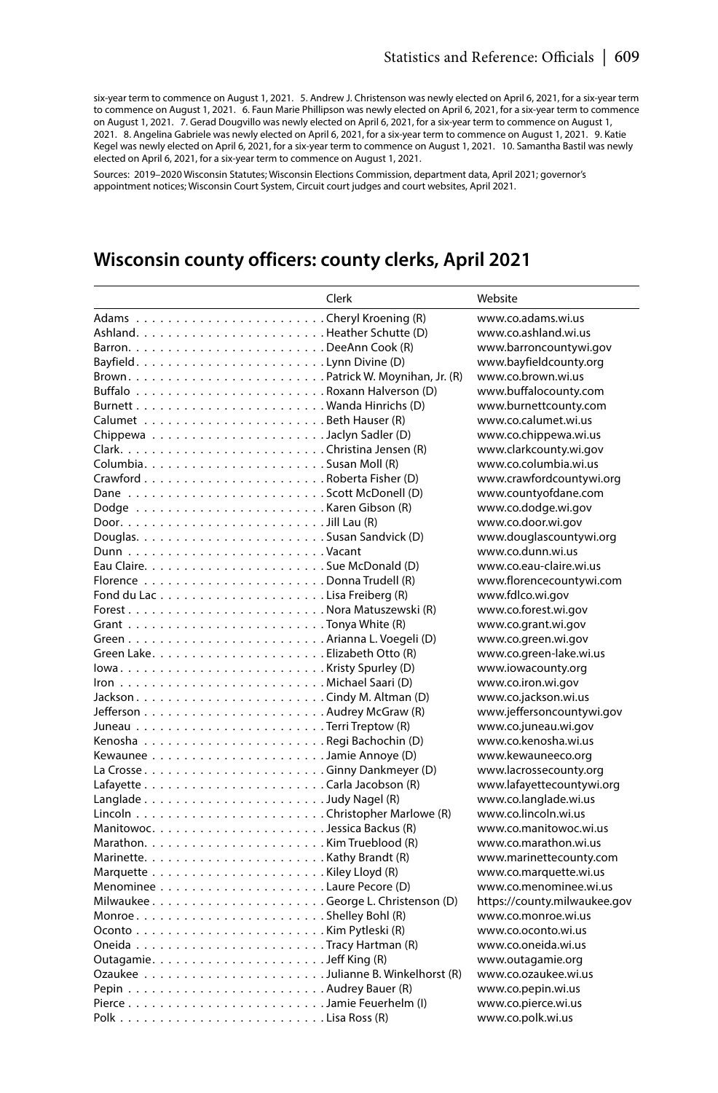six-year term to commence on August 1, 2021. 5. Andrew J. Christenson was newly elected on April 6, 2021, for a six-year term to commence on August 1, 2021. 6. Faun Marie Phillipson was newly elected on April 6, 2021, for a six-year term to commence on August 1, 2021. 7. Gerad Dougvillo was newly elected on April 6, 2021, for a six-year term to commence on August 1, 2021. 8. Angelina Gabriele was newly elected on April 6, 2021, for a six-year term to commence on August 1, 2021. 9. Katie Kegel was newly elected on April 6, 2021, for a six-year term to commence on August 1, 2021. 10. Samantha Bastil was newly elected on April 6, 2021, for a six-year term to commence on August 1, 2021.

Sources: 2019–2020 Wisconsin Statutes; Wisconsin Elections Commission, department data, April 2021; governor's appointment notices; Wisconsin Court System, Circuit court judges and court websites, April 2021.

## **Wisconsin county officers: county clerks, April 2021**

| Clerk | Website                      |
|-------|------------------------------|
|       | www.co.adams.wi.us           |
|       | www.co.ashland.wi.us         |
|       | www.barroncountywi.gov       |
|       | www.bayfieldcounty.org       |
|       | www.co.brown.wi.us           |
|       | www.buffalocountv.com        |
|       | www.burnettcounty.com        |
|       | www.co.calumet.wi.us         |
|       | www.co.chippewa.wi.us        |
|       | www.clarkcounty.wi.gov       |
|       | www.co.columbia.wi.us        |
|       | www.crawfordcountywi.org     |
|       | www.countyofdane.com         |
|       | www.co.dodge.wi.gov          |
|       | www.co.door.wi.gov           |
|       | www.douglascountywi.org      |
|       | www.co.dunn.wi.us            |
|       | www.co.eau-claire.wi.us      |
|       | www.florencecountywi.com     |
|       | www.fdlco.wi.gov             |
|       | www.co.forest.wi.gov         |
|       | www.co.grant.wi.gov          |
|       | www.co.green.wi.gov          |
|       | www.co.green-lake.wi.us      |
|       | www.iowacounty.org           |
|       | www.co.iron.wi.gov           |
|       | www.co.jackson.wi.us         |
|       | www.jeffersoncountywi.gov    |
|       | www.co.juneau.wi.gov         |
|       | www.co.kenosha.wi.us         |
|       | www.kewauneeco.org           |
|       | www.lacrossecounty.org       |
|       | www.lafayettecountywi.org    |
|       | www.co.langlade.wi.us        |
|       | www.co.lincoln.wi.us         |
|       | www.co.manitowoc.wi.us       |
|       | www.co.marathon.wi.us        |
|       | www.marinettecounty.com      |
|       | www.co.marquette.wi.us       |
|       | www.co.menominee.wi.us       |
|       | https://county.milwaukee.gov |
|       | www.co.monroe.wi.us          |
|       | www.co.oconto.wi.us          |
|       | www.co.oneida.wi.us          |
|       | www.outagamie.org            |
|       | www.co.ozaukee.wi.us         |
|       | www.co.pepin.wi.us           |
|       | www.co.pierce.wi.us          |
|       | www.co.polk.wi.us            |
|       |                              |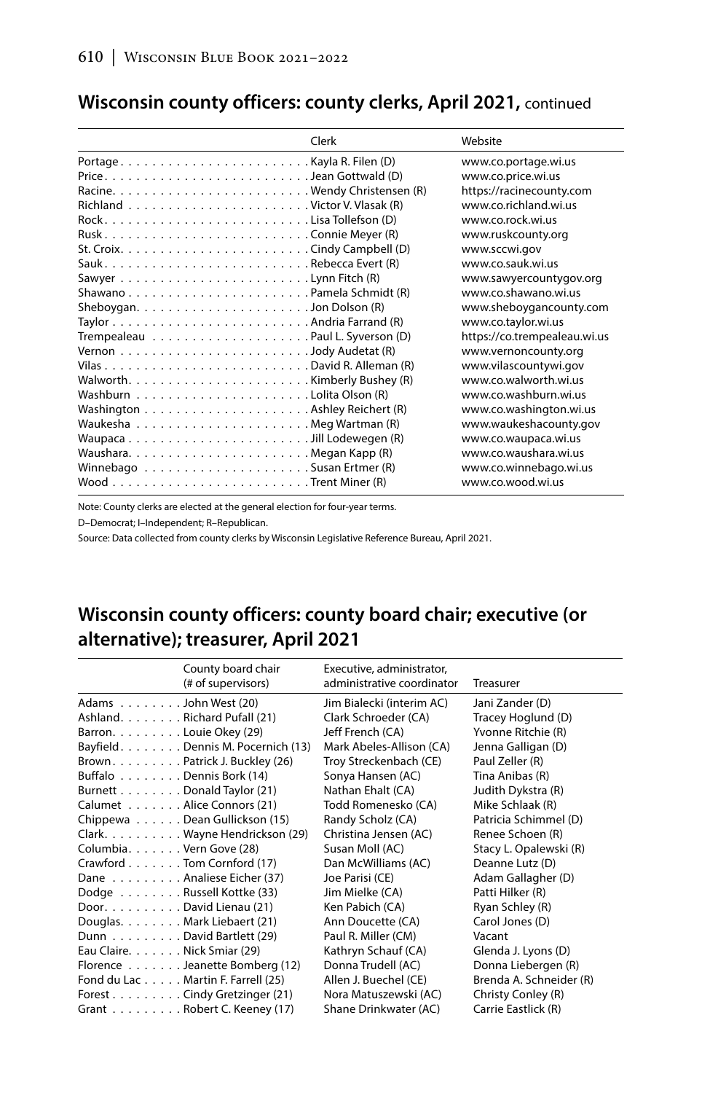|                                                                                    | Clerk | Website                      |
|------------------------------------------------------------------------------------|-------|------------------------------|
|                                                                                    |       | www.co.portage.wi.us         |
|                                                                                    |       | www.co.price.wi.us           |
|                                                                                    |       | https://racinecounty.com     |
|                                                                                    |       | www.co.richland.wi.us        |
|                                                                                    |       | www.co.rock.wi.us            |
|                                                                                    |       | www.ruskcounty.org           |
|                                                                                    |       | www.sccwi.gov                |
|                                                                                    |       | www.co.sauk.wi.us            |
|                                                                                    |       | www.sawyercountygov.org      |
|                                                                                    |       | www.co.shawano.wi.us         |
|                                                                                    |       | www.sheboygancounty.com      |
|                                                                                    |       | www.co.taylor.wi.us          |
|                                                                                    |       | https://co.trempealeau.wi.us |
| Vernon $\ldots \ldots \ldots \ldots \ldots \ldots \ldots \ldots$ Jody Audetat (R)  |       | www.vernoncounty.org         |
|                                                                                    |       | www.vilascountywi.gov        |
| Walworth. $\ldots \ldots \ldots \ldots \ldots \ldots \ldots$ . Kimberly Bushey (R) |       | www.co.walworth.wi.us        |
|                                                                                    |       | www.co.washburn.wi.us        |
|                                                                                    |       | www.co.washington.wi.us      |
|                                                                                    |       | www.waukeshacounty.gov       |
|                                                                                    |       | www.co.waupaca.wi.us         |
|                                                                                    |       | www.co.waushara.wi.us        |
|                                                                                    |       | www.co.winnebago.wi.us       |
|                                                                                    |       | www.co.wood.wi.us            |

## **Wisconsin county officers: county clerks, April 2021,** continued

Note: County clerks are elected at the general election for four-year terms.

D–Democrat; I–Independent; R–Republican.

Source: Data collected from county clerks by Wisconsin Legislative Reference Bureau, April 2021.

## **Wisconsin county officers: county board chair; executive (or alternative); treasurer, April 2021**

|                              | County board chair<br>(# of supervisors) | Executive, administrator,<br>administrative coordinator | Treasurer               |
|------------------------------|------------------------------------------|---------------------------------------------------------|-------------------------|
| Adams John West (20)         |                                          | Jim Bialecki (interim AC)                               | Jani Zander (D)         |
| Ashland. Richard Pufall (21) |                                          | Clark Schroeder (CA)                                    | Tracey Hoglund (D)      |
| Barron. Louie Okey (29)      |                                          | Jeff French (CA)                                        | Yvonne Ritchie (R)      |
|                              | Bayfield. Dennis M. Pocernich (13)       | Mark Abeles-Allison (CA)                                | Jenna Galligan (D)      |
|                              | Brown. Patrick J. Buckley (26)           | Troy Streckenbach (CE)                                  | Paul Zeller (R)         |
| Buffalo Dennis Bork (14)     |                                          | Sonya Hansen (AC)                                       | Tina Anibas (R)         |
| Burnett Donald Taylor (21)   |                                          | Nathan Ehalt (CA)                                       | Judith Dykstra (R)      |
| Calumet Alice Connors (21)   |                                          | Todd Romenesko (CA)                                     | Mike Schlaak (R)        |
|                              | Chippewa Dean Gullickson (15)            | Randy Scholz (CA)                                       | Patricia Schimmel (D)   |
|                              | Clark. Wayne Hendrickson (29)            | Christina Jensen (AC)                                   | Renee Schoen (R)        |
| Columbia. Vern Gove (28)     |                                          | Susan Moll (AC)                                         | Stacy L. Opalewski (R)  |
| Crawford Tom Cornford (17)   |                                          | Dan McWilliams (AC)                                     | Deanne Lutz (D)         |
|                              | Dane Analiese Eicher (37)                | Joe Parisi (CE)                                         | Adam Gallagher (D)      |
| Dodge Russell Kottke (33)    |                                          | Jim Mielke (CA)                                         | Patti Hilker (R)        |
| Door. David Lienau (21)      |                                          | Ken Pabich (CA)                                         | Ryan Schley (R)         |
| Douglas. Mark Liebaert (21)  |                                          | Ann Doucette (CA)                                       | Carol Jones (D)         |
| Dunn David Bartlett (29)     |                                          | Paul R. Miller (CM)                                     | Vacant                  |
| Eau Claire. Nick Smiar (29)  |                                          | Kathryn Schauf (CA)                                     | Glenda J. Lyons (D)     |
|                              | Florence Jeanette Bomberg (12)           | Donna Trudell (AC)                                      | Donna Liebergen (R)     |
|                              | Fond du Lac Martin F. Farrell (25)       | Allen J. Buechel (CE)                                   | Brenda A. Schneider (R) |
|                              | Forest Cindy Gretzinger (21)             | Nora Matuszewski (AC)                                   | Christy Conley (R)      |
|                              | Grant Robert C. Keeney (17)              | Shane Drinkwater (AC)                                   | Carrie Eastlick (R)     |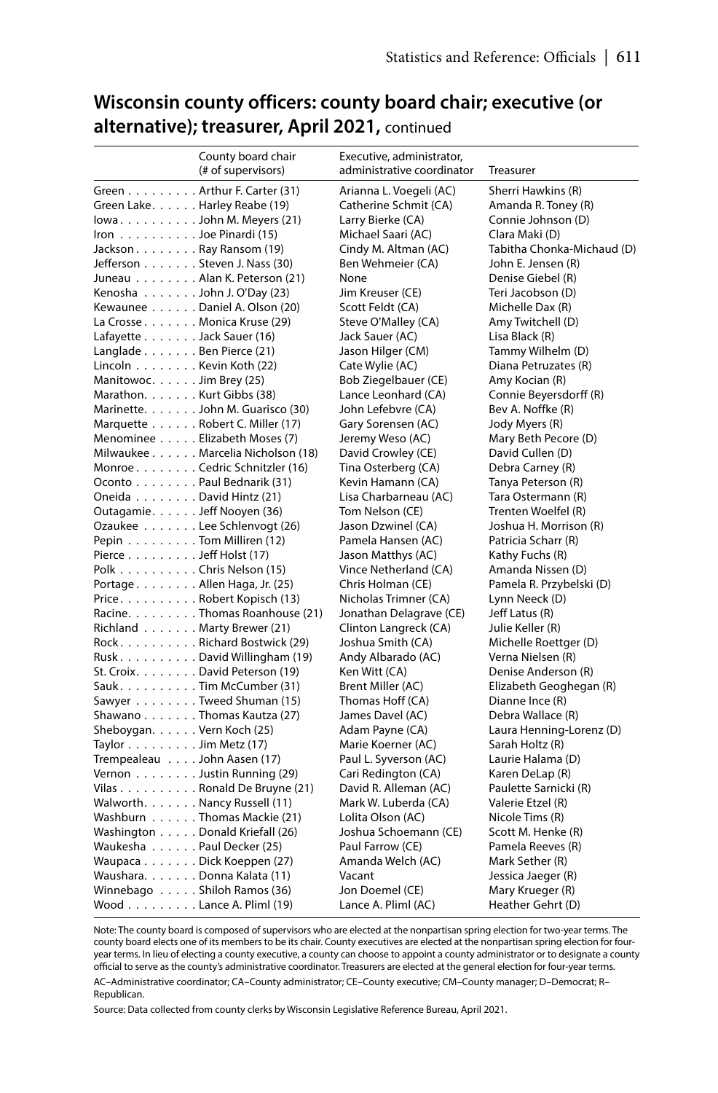|                                               | County board chair                | Executive, administrator,  |                            |
|-----------------------------------------------|-----------------------------------|----------------------------|----------------------------|
|                                               | (# of supervisors)                | administrative coordinator | Treasurer                  |
|                                               | Green Arthur F. Carter (31)       | Arianna L. Voegeli (AC)    | Sherri Hawkins (R)         |
| Green Lake. Harley Reabe (19)                 |                                   | Catherine Schmit (CA)      | Amanda R. Toney (R)        |
|                                               | lowaJohn M. Meyers $(21)$         | Larry Bierke (CA)          | Connie Johnson (D)         |
| Iron $\ldots \ldots \ldots$ Joe Pinardi (15)  |                                   | Michael Saari (AC)         | Clara Maki (D)             |
| Jackson Ray Ransom (19)                       |                                   | Cindy M. Altman (AC)       | Tabitha Chonka-Michaud (D) |
| Jefferson Steven J. Nass (30)                 |                                   | Ben Wehmeier (CA)          | John E. Jensen (R)         |
|                                               | Juneau Alan K. Peterson (21)      | None                       | Denise Giebel (R)          |
| Kenosha John J. O'Day (23)                    |                                   | Jim Kreuser (CE)           | Teri Jacobson (D)          |
|                                               | Kewaunee Daniel A. Olson (20)     | Scott Feldt (CA)           | Michelle Dax (R)           |
| La Crosse Monica Kruse (29)                   |                                   | Steve O'Malley (CA)        | Amy Twitchell (D)          |
| Lafayette Jack Sauer (16)                     |                                   | Jack Sauer (AC)            | Lisa Black (R)             |
| Langlade Ben Pierce (21)                      |                                   | Jason Hilger (CM)          | Tammy Wilhelm (D)          |
| Lincoln Kevin Koth (22)                       |                                   | Cate Wylie (AC)            | Diana Petruzates (R)       |
| Manitowoc. Jim Brey (25)                      |                                   | Bob Ziegelbauer (CE)       | Amy Kocian (R)             |
| Marathon. Kurt Gibbs (38)                     |                                   | Lance Leonhard (CA)        | Connie Beyersdorff (R)     |
|                                               | Marinette. John M. Guarisco (30)  | John Lefebvre (CA)         | Bev A. Noffke (R)          |
|                                               | Marquette Robert C. Miller (17)   | Gary Sorensen (AC)         | Jody Myers (R)             |
|                                               | Menominee Elizabeth Moses (7)     | Jeremy Weso (AC)           | Mary Beth Pecore (D)       |
|                                               | Milwaukee Marcelia Nicholson (18) | David Crowley (CE)         | David Cullen (D)           |
|                                               | Monroe. Cedric Schnitzler (16)    | Tina Osterberg (CA)        | Debra Carney (R)           |
| Oconto Paul Bednarik (31)                     |                                   | Kevin Hamann (CA)          | Tanya Peterson (R)         |
| Oneida David Hintz (21)                       |                                   | Lisa Charbarneau (AC)      | Tara Ostermann (R)         |
| Outagamie. Jeff Nooyen (36)                   |                                   | Tom Nelson (CE)            | Trenten Woelfel (R)        |
|                                               | Ozaukee Lee Schlenvogt (26)       | Jason Dzwinel (CA)         | Joshua H. Morrison (R)     |
| Pepin Tom Milliren (12)                       |                                   | Pamela Hansen (AC)         | Patricia Scharr (R)        |
| Pierce $\ldots \ldots \ldots$ Jeff Holst (17) |                                   | Jason Matthys (AC)         | Kathy Fuchs (R)            |
| Polk Chris Nelson (15)                        |                                   | Vince Netherland (CA)      | Amanda Nissen (D)          |
| Portage Allen Haga, Jr. (25)                  |                                   | Chris Holman (CE)          | Pamela R. Przybelski (D)   |
|                                               | Price. Robert Kopisch (13)        | Nicholas Trimner (CA)      | Lynn Neeck (D)             |
|                                               | Racine. Thomas Roanhouse (21)     | Jonathan Delagrave (CE)    | Jeff Latus (R)             |
| Richland Marty Brewer (21)                    |                                   | Clinton Langreck (CA)      | Julie Keller (R)           |
|                                               | Rock. Richard Bostwick (29)       | Joshua Smith (CA)          | Michelle Roettger (D)      |
|                                               | RuskDavid Willingham (19)         | Andy Albarado (AC)         | Verna Nielsen (R)          |
|                                               | St. Croix. David Peterson (19)    | Ken Witt (CA)              | Denise Anderson (R)        |
|                                               | Sauk. Tim McCumber (31)           | Brent Miller (AC)          | Elizabeth Geoghegan (R)    |
|                                               | Sawyer Tweed Shuman (15)          | Thomas Hoff (CA)           | Dianne Ince (R)            |
|                                               | Shawano Thomas Kautza (27)        | James Davel (AC)           | Debra Wallace (R)          |
| Sheboygan. Vern Koch (25)                     |                                   | Adam Payne (CA)            | Laura Henning-Lorenz (D)   |
| Taylor $\ldots \ldots \ldots$ Jim Metz (17)   |                                   | Marie Koerner (AC)         | Sarah Holtz (R)            |
| Trempealeau John Aasen (17)                   |                                   | Paul L. Syverson (AC)      | Laurie Halama (D)          |
|                                               | Vernon Justin Running (29)        | Cari Redington (CA)        | Karen DeLap (R)            |
|                                               | Vilas Ronald De Bruyne (21)       | David R. Alleman (AC)      | Paulette Sarnicki (R)      |
| Walworth. Nancy Russell (11)                  |                                   | Mark W. Luberda (CA)       | Valerie Etzel (R)          |
|                                               | Washburn Thomas Mackie (21)       | Lolita Olson (AC)          | Nicole Tims (R)            |
|                                               | Washington Donald Kriefall (26)   | Joshua Schoemann (CE)      | Scott M. Henke (R)         |
| Waukesha Paul Decker (25)                     |                                   | Paul Farrow (CE)           | Pamela Reeves (R)          |
| Waupaca Dick Koeppen (27)                     |                                   | Amanda Welch (AC)          | Mark Sether (R)            |
| Waushara. Donna Kalata (11)                   |                                   | Vacant                     | Jessica Jaeger (R)         |
| Winnebago Shiloh Ramos (36)                   |                                   | Jon Doemel (CE)            | Mary Krueger (R)           |
| Wood Lance A. Pliml $(19)$                    |                                   | Lance A. Pliml (AC)        | Heather Gehrt (D)          |
|                                               |                                   |                            |                            |

## **Wisconsin county officers: county board chair; executive (or alternative); treasurer, April 2021,** continued

Note: The county board is composed of supervisors who are elected at the nonpartisan spring election for two-year terms. The county board elects one of its members to be its chair. County executives are elected at the nonpartisan spring election for fouryear terms. In lieu of electing a county executive, a county can choose to appoint a county administrator or to designate a county official to serve as the county's administrative coordinator. Treasurers are elected at the general election for four-year terms. AC–Administrative coordinator; CA–County administrator; CE–County executive; CM–County manager; D–Democrat; R– Republican.

Source: Data collected from county clerks by Wisconsin Legislative Reference Bureau, April 2021.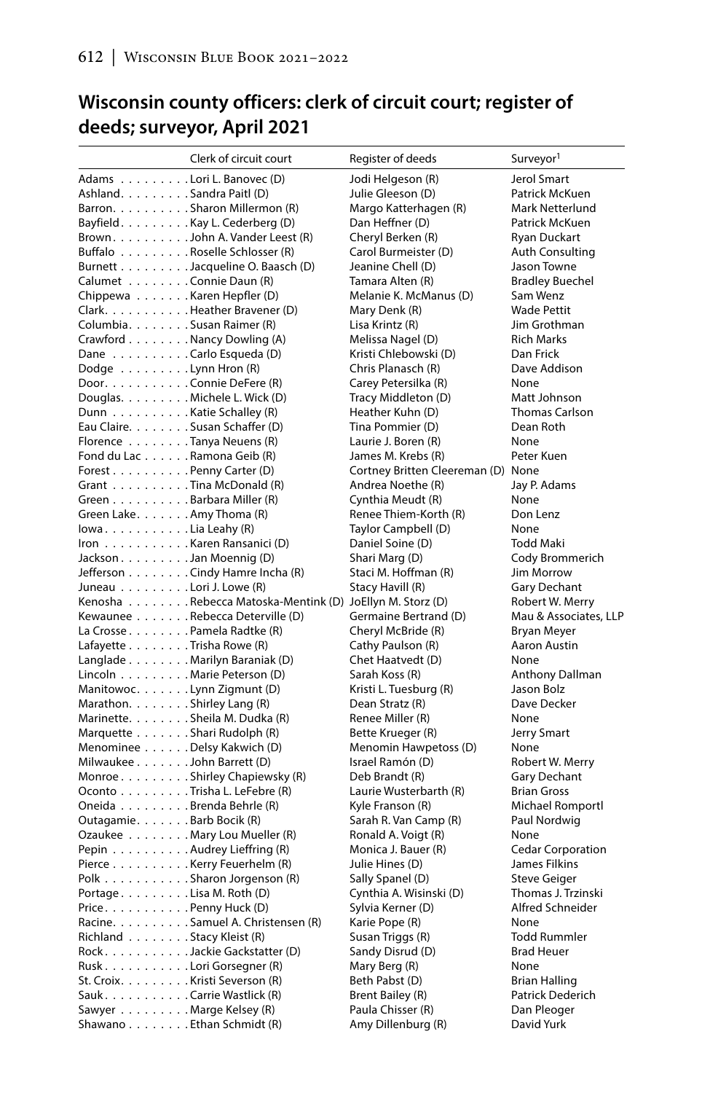# **Wisconsin county officers: clerk of circuit court; register of deeds; surveyor, April 2021**

|                                | Clerk of circuit court                                   | Register of deeds                  | Surveyor <sup>1</sup>    |
|--------------------------------|----------------------------------------------------------|------------------------------------|--------------------------|
| Adams Lori L. Banovec (D)      |                                                          | Jodi Helgeson (R)                  | Jerol Smart              |
| Ashland. Sandra Paitl (D)      |                                                          | Julie Gleeson (D)                  | Patrick McKuen           |
|                                | Barron. Sharon Millermon (R)                             | Margo Katterhagen (R)              | Mark Netterlund          |
|                                | Bayfield. Kay L. Cederberg (D)                           | Dan Heffner (D)                    | Patrick McKuen           |
|                                | Brown. John A. Vander Leest (R)                          | Cheryl Berken (R)                  | <b>Ryan Duckart</b>      |
|                                | Buffalo Roselle Schlosser (R)                            | Carol Burmeister (D)               | <b>Auth Consulting</b>   |
|                                | Burnett Jacqueline O. Baasch (D)                         | Jeanine Chell (D)                  | Jason Towne              |
| Calumet Connie Daun (R)        |                                                          | Tamara Alten (R)                   | <b>Bradley Buechel</b>   |
| Chippewa Karen Hepfler (D)     |                                                          | Melanie K. McManus (D)             | Sam Wenz                 |
|                                | Clark. Heather Bravener (D)                              | Mary Denk (R)                      | <b>Wade Pettit</b>       |
| Columbia. Susan Raimer (R)     |                                                          | Lisa Krintz (R)                    | Jim Grothman             |
|                                |                                                          |                                    |                          |
| Crawford Nancy Dowling (A)     |                                                          | Melissa Nagel (D)                  | <b>Rich Marks</b>        |
| Dane Carlo Esqueda (D)         |                                                          | Kristi Chlebowski (D)              | Dan Frick                |
| Dodge Lynn Hron (R)            |                                                          | Chris Planasch (R)                 | Dave Addison             |
| Door. Connie DeFere (R)        |                                                          | Carey Petersilka (R)               | None                     |
| Douglas. Michele L. Wick (D)   |                                                          | Tracy Middleton (D)                | Matt Johnson             |
| Dunn Katie Schalley (R)        |                                                          | Heather Kuhn (D)                   | <b>Thomas Carlson</b>    |
| Eau Claire. Susan Schaffer (D) |                                                          | Tina Pommier (D)                   | Dean Roth                |
| Florence Tanya Neuens (R)      |                                                          | Laurie J. Boren (R)                | None                     |
| Fond du Lac Ramona Geib (R)    |                                                          | James M. Krebs (R)                 | Peter Kuen               |
| Forest Penny Carter (D)        |                                                          | Cortney Britten Cleereman (D) None |                          |
| Grant Tina McDonald (R)        |                                                          | Andrea Noethe (R)                  | Jay P. Adams             |
| Green Barbara Miller (R)       |                                                          | Cynthia Meudt (R)                  | None                     |
| Green Lake. Amy Thoma (R)      |                                                          | Renee Thiem-Korth (R)              | Don Lenz                 |
| lowa. Lia Leahy (R)            |                                                          | Taylor Campbell (D)                | None                     |
| Iron Karen Ransanici (D)       |                                                          | Daniel Soine (D)                   | Todd Maki                |
| Jackson Jan Moennig (D)        |                                                          | Shari Marg (D)                     | Cody Brommerich          |
|                                | Jefferson Cindy Hamre Incha (R)                          | Staci M. Hoffman (R)               | Jim Morrow               |
| Juneau Lori J. Lowe (R)        |                                                          | Stacy Havill (R)                   | Gary Dechant             |
|                                | Kenosha Rebecca Matoska-Mentink (D) JoEllyn M. Storz (D) |                                    | Robert W. Merry          |
|                                | Kewaunee Rebecca Deterville (D)                          | Germaine Bertrand (D)              | Mau & Associates, LLP    |
| La Crosse Pamela Radtke (R)    |                                                          | Cheryl McBride (R)                 | <b>Bryan Meyer</b>       |
| Lafayette Trisha Rowe (R)      |                                                          |                                    |                          |
|                                |                                                          | Cathy Paulson (R)                  | Aaron Austin             |
|                                | Langlade Marilyn Baraniak (D)                            | Chet Haatvedt (D)                  | None                     |
| Lincoln Marie Peterson (D)     |                                                          | Sarah Koss (R)                     | Anthony Dallman          |
| Manitowoc. Lynn Zigmunt (D)    |                                                          | Kristi L. Tuesburg (R)             | Jason Bolz               |
| Marathon. Shirley Lang (R)     |                                                          | Dean Stratz (R)                    | Dave Decker              |
| Marinette. Sheila M. Dudka (R) |                                                          | Renee Miller (R)                   | None                     |
| Marquette Shari Rudolph (R)    |                                                          | Bette Krueger (R)                  | Jerry Smart              |
| Menominee Delsy Kakwich (D)    |                                                          | Menomin Hawpetoss (D)              | None                     |
| Milwaukee John Barrett (D)     |                                                          | Israel Ramón (D)                   | Robert W. Merry          |
|                                | Monroe Shirley Chapiewsky (R)                            | Deb Brandt (R)                     | Gary Dechant             |
|                                | Oconto Trisha L. LeFebre (R)                             | Laurie Wusterbarth (R)             | <b>Brian Gross</b>       |
| Oneida Brenda Behrle (R)       |                                                          | Kyle Franson (R)                   | <b>Michael Romportl</b>  |
| Outagamie. Barb Bocik (R)      |                                                          | Sarah R. Van Camp (R)              | Paul Nordwig             |
|                                | Ozaukee Mary Lou Mueller (R)                             | Ronald A. Voigt (R)                | None                     |
| Pepin Audrey Lieffring (R)     |                                                          | Monica J. Bauer (R)                | <b>Cedar Corporation</b> |
|                                | Pierce Kerry Feuerhelm (R)                               | Julie Hines (D)                    | James Filkins            |
|                                | Polk Sharon Jorgenson (R)                                | Sally Spanel (D)                   | <b>Steve Geiger</b>      |
| Portage. Lisa M. Roth (D)      |                                                          | Cynthia A. Wisinski (D)            | Thomas J. Trzinski       |
| Price. Penny Huck (D)          |                                                          | Sylvia Kerner (D)                  | Alfred Schneider         |
|                                | Racine. Samuel A. Christensen (R)                        | Karie Pope (R)                     | None                     |
|                                |                                                          |                                    |                          |
| Richland Stacy Kleist (R)      |                                                          | Susan Triggs (R)                   | <b>Todd Rummler</b>      |
|                                | Rock. Jackie Gackstatter (D)                             | Sandy Disrud (D)                   | <b>Brad Heuer</b>        |
| RuskLori Gorsegner (R)         |                                                          | Mary Berg (R)                      | None                     |
| St. Croix. Kristi Severson (R) |                                                          | Beth Pabst (D)                     | <b>Brian Halling</b>     |
| Sauk. Carrie Wastlick (R)      |                                                          | Brent Bailey (R)                   | Patrick Dederich         |
| Sawyer Marge Kelsey (R)        |                                                          | Paula Chisser (R)                  | Dan Pleoger              |
| Shawano Ethan Schmidt (R)      |                                                          | Amy Dillenburg (R)                 | David Yurk               |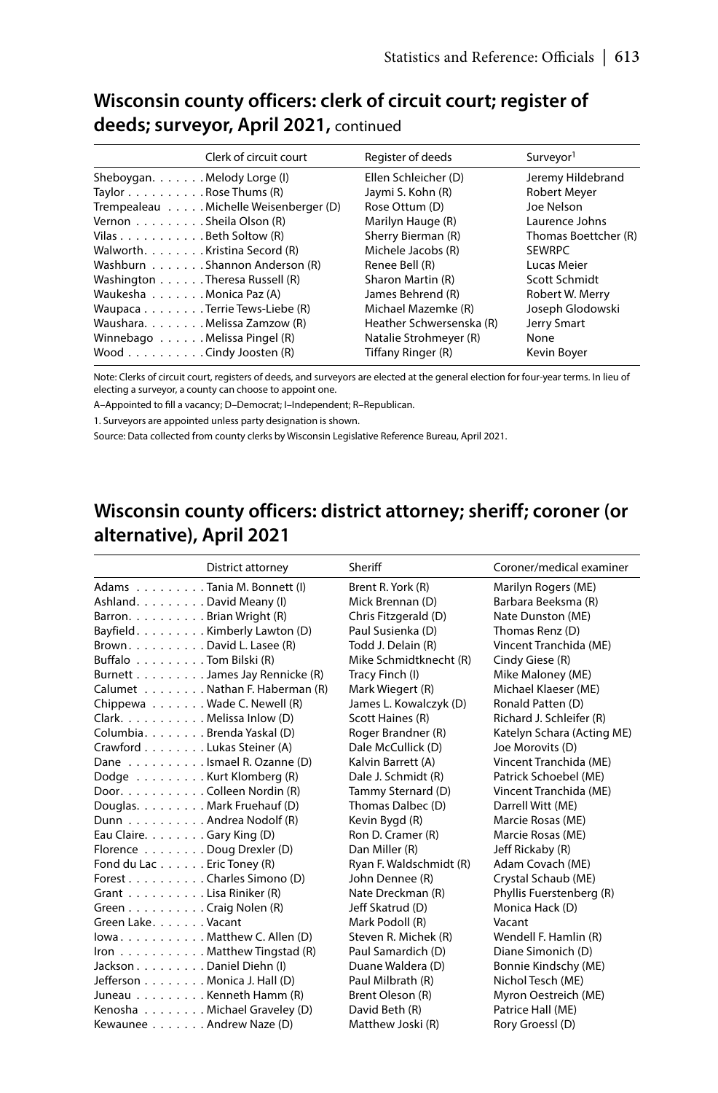## **Wisconsin county officers: clerk of circuit court; register of deeds; surveyor, April 2021,** continued

| Jeremy Hildebrand    |
|----------------------|
|                      |
|                      |
| Laurence Johns       |
| Thomas Boettcher (R) |
|                      |
|                      |
| Scott Schmidt        |
| Robert W. Merry      |
| Joseph Glodowski     |
|                      |
|                      |
|                      |
|                      |

Note: Clerks of circuit court, registers of deeds, and surveyors are elected at the general election for four-year terms. In lieu of electing a surveyor, a county can choose to appoint one.

A–Appointed to fill a vacancy; D–Democrat; I–Independent; R–Republican.

1. Surveyors are appointed unless party designation is shown.

Source: Data collected from county clerks by Wisconsin Legislative Reference Bureau, April 2021.

# **Wisconsin county officers: district attorney; sheriff; coroner (or alternative), April 2021**

|                               | District attorney                                  | Sheriff                 | Coroner/medical examiner   |
|-------------------------------|----------------------------------------------------|-------------------------|----------------------------|
| Adams Tania M. Bonnett (I)    |                                                    | Brent R. York (R)       | Marilyn Rogers (ME)        |
| Ashland. David Meany (I)      |                                                    | Mick Brennan (D)        | Barbara Beeksma (R)        |
| Barron. Brian Wright (R)      |                                                    | Chris Fitzgerald (D)    | Nate Dunston (ME)          |
| Bayfield. Kimberly Lawton (D) |                                                    | Paul Susienka (D)       | Thomas Renz (D)            |
| Brown. David L. Lasee (R)     |                                                    | Todd J. Delain (R)      | Vincent Tranchida (ME)     |
| Buffalo Tom Bilski (R)        |                                                    | Mike Schmidtknecht (R)  | Cindy Giese (R)            |
|                               | Burnett James Jay Rennicke (R)                     | Tracy Finch (I)         | Mike Maloney (ME)          |
|                               | Calumet Nathan F. Haberman (R)                     | Mark Wiegert (R)        | Michael Klaeser (ME)       |
| Chippewa Wade C. Newell (R)   |                                                    | James L. Kowalczyk (D)  | Ronald Patten (D)          |
| Clark. Melissa Inlow (D)      |                                                    | Scott Haines (R)        | Richard J. Schleifer (R)   |
| Columbia. Brenda Yaskal (D)   |                                                    | Roger Brandner (R)      | Katelyn Schara (Acting ME) |
| Crawford Lukas Steiner (A)    |                                                    | Dale McCullick (D)      | Joe Morovits (D)           |
| Dane Ismael R. Ozanne (D)     |                                                    | Kalvin Barrett (A)      | Vincent Tranchida (ME)     |
| Dodge Kurt Klomberg (R)       |                                                    | Dale J. Schmidt (R)     | Patrick Schoebel (ME)      |
| Door. Colleen Nordin (R)      |                                                    | Tammy Sternard (D)      | Vincent Tranchida (ME)     |
| Douglas. Mark Fruehauf (D)    |                                                    | Thomas Dalbec (D)       | Darrell Witt (ME)          |
| Dunn Andrea Nodolf (R)        |                                                    | Kevin Bygd (R)          | Marcie Rosas (ME)          |
| Eau Claire. Gary King (D)     |                                                    | Ron D. Cramer (R)       | Marcie Rosas (ME)          |
| Florence Doug Drexler (D)     |                                                    | Dan Miller (R)          | Jeff Rickaby (R)           |
| Fond du Lac Eric Toney (R)    |                                                    | Ryan F. Waldschmidt (R) | Adam Covach (ME)           |
| Forest Charles Simono (D)     |                                                    | John Dennee (R)         | Crystal Schaub (ME)        |
| Grant Lisa Riniker (R)        |                                                    | Nate Dreckman (R)       | Phyllis Fuerstenberg (R)   |
| Green Craig Nolen (R)         |                                                    | Jeff Skatrud (D)        | Monica Hack (D)            |
| Green Lake. Vacant            |                                                    | Mark Podoll (R)         | Vacant                     |
|                               | lowaMatthew C. Allen (D)                           | Steven R. Michek (R)    | Wendell F. Hamlin (R)      |
|                               | Iron $\ldots \ldots \ldots$ . Matthew Tingstad (R) | Paul Samardich (D)      | Diane Simonich (D)         |
| Jackson. Daniel Diehn (I)     |                                                    | Duane Waldera (D)       | Bonnie Kindschy (ME)       |
| Jefferson Monica J. Hall (D)  |                                                    | Paul Milbrath (R)       | Nichol Tesch (ME)          |
| Juneau Kenneth Hamm (R)       |                                                    | Brent Oleson (R)        | Myron Oestreich (ME)       |
|                               | Kenosha Michael Graveley (D)                       | David Beth (R)          | Patrice Hall (ME)          |
| Kewaunee Andrew Naze (D)      |                                                    | Matthew Joski (R)       | Rory Groessl (D)           |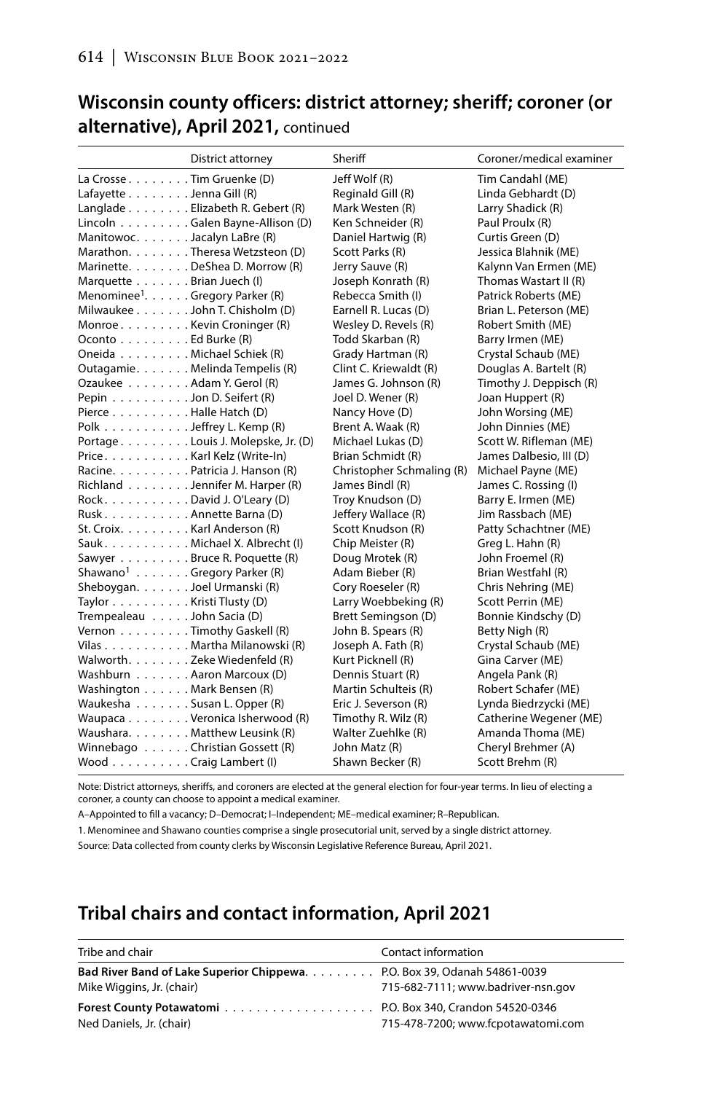## **Wisconsin county officers: district attorney; sheriff; coroner (or alternative), April 2021,** continued

|                                                   | District attorney                  | Sheriff                   | Coroner/medical examiner |
|---------------------------------------------------|------------------------------------|---------------------------|--------------------------|
| La Crosse Tim Gruenke (D)                         |                                    | Jeff Wolf (R)             | Tim Candahl (ME)         |
| Lafayette Jenna Gill (R)                          |                                    | Reginald Gill (R)         | Linda Gebhardt (D)       |
|                                                   | Langlade Elizabeth R. Gebert (R)   | Mark Westen (R)           | Larry Shadick (R)        |
|                                                   | Lincoln Galen Bayne-Allison (D)    | Ken Schneider (R)         | Paul Proulx (R)          |
| Manitowoc. Jacalyn LaBre (R)                      |                                    | Daniel Hartwig (R)        | Curtis Green (D)         |
|                                                   | Marathon. Theresa Wetzsteon (D)    | Scott Parks (R)           | Jessica Blahnik (ME)     |
|                                                   | Marinette. DeShea D. Morrow (R)    | Jerry Sauve (R)           | Kalynn Van Ermen (ME)    |
| Marquette Brian Juech (I)                         |                                    | Joseph Konrath (R)        | Thomas Wastart II (R)    |
| Menominee <sup>1</sup> . Gregory Parker (R)       |                                    | Rebecca Smith (I)         | Patrick Roberts (ME)     |
|                                                   | Milwaukee John T. Chisholm (D)     | Earnell R. Lucas (D)      | Brian L. Peterson (ME)   |
| Monroe Kevin Croninger (R)                        |                                    | Wesley D. Revels (R)      | Robert Smith (ME)        |
| Oconto Ed Burke (R)                               |                                    | Todd Skarban (R)          | Barry Irmen (ME)         |
| Oneida Michael Schiek (R)                         |                                    | Grady Hartman (R)         | Crystal Schaub (ME)      |
|                                                   | Outagamie. Melinda Tempelis (R)    | Clint C. Kriewaldt (R)    | Douglas A. Bartelt (R)   |
| Ozaukee Adam Y. Gerol (R)                         |                                    | James G. Johnson (R)      | Timothy J. Deppisch (R)  |
| Pepin Jon D. Seifert (R)                          |                                    | Joel D. Wener (R)         | Joan Huppert (R)         |
| Pierce Halle Hatch (D)                            |                                    | Nancy Hove (D)            | John Worsing (ME)        |
| Polk $\ldots \ldots \ldots$ . Jeffrey L. Kemp (R) |                                    | Brent A. Waak (R)         | John Dinnies (ME)        |
|                                                   | Portage Louis J. Molepske, Jr. (D) | Michael Lukas (D)         | Scott W. Rifleman (ME)   |
| Price. Karl Kelz (Write-In)                       |                                    | Brian Schmidt (R)         | James Dalbesio, III (D)  |
|                                                   | Racine. Patricia J. Hanson (R)     | Christopher Schmaling (R) | Michael Payne (ME)       |
|                                                   | Richland Jennifer M. Harper (R)    | James Bindl (R)           | James C. Rossing (I)     |
| Rock. David J. O'Leary (D)                        |                                    | Troy Knudson (D)          | Barry E. Irmen (ME)      |
| RuskAnnette Barna (D)                             |                                    | Jeffery Wallace (R)       | Jim Rassbach (ME)        |
| St. Croix. Karl Anderson (R)                      |                                    | Scott Knudson (R)         | Patty Schachtner (ME)    |
|                                                   | Sauk. Michael X. Albrecht (I)      | Chip Meister (R)          | Greg L. Hahn (R)         |
|                                                   | Sawyer Bruce R. Poquette (R)       | Doug Mrotek (R)           | John Froemel (R)         |
| Shawano <sup>1</sup> Gregory Parker (R)           |                                    | Adam Bieber (R)           | Brian Westfahl (R)       |
| Sheboygan. Joel Urmanski (R)                      |                                    | Cory Roeseler (R)         | Chris Nehring (ME)       |
| Taylor Kristi Tlusty (D)                          |                                    | Larry Woebbeking (R)      | Scott Perrin (ME)        |
| Trempealeau John Sacia (D)                        |                                    | Brett Semingson (D)       | Bonnie Kindschy (D)      |
| Vernon Timothy Gaskell (R)                        |                                    | John B. Spears (R)        | Betty Nigh (R)           |
|                                                   | Vilas Martha Milanowski (R)        | Joseph A. Fath (R)        | Crystal Schaub (ME)      |
| Walworth. Zeke Wiedenfeld (R)                     |                                    | Kurt Picknell (R)         | Gina Carver (ME)         |
| Washburn Aaron Marcoux (D)                        |                                    | Dennis Stuart (R)         | Angela Pank (R)          |
| Washington Mark Bensen (R)                        |                                    | Martin Schulteis (R)      | Robert Schafer (ME)      |
| Waukesha Susan L. Opper (R)                       |                                    | Eric J. Severson (R)      | Lynda Biedrzycki (ME)    |
|                                                   | Waupaca Veronica Isherwood (R)     | Timothy R. Wilz (R)       | Catherine Wegener (ME)   |
|                                                   | Waushara. Matthew Leusink (R)      | Walter Zuehlke (R)        | Amanda Thoma (ME)        |
|                                                   | Winnebago Christian Gossett (R)    | John Matz (R)             | Cheryl Brehmer (A)       |
| Wood Craig Lambert (I)                            |                                    | Shawn Becker (R)          | Scott Brehm (R)          |
|                                                   |                                    |                           |                          |

Note: District attorneys, sheriffs, and coroners are elected at the general election for four-year terms. In lieu of electing a coroner, a county can choose to appoint a medical examiner.

A–Appointed to fill a vacancy; D–Democrat; I–Independent; ME–medical examiner; R–Republican.

1. Menominee and Shawano counties comprise a single prosecutorial unit, served by a single district attorney.

Source: Data collected from county clerks by Wisconsin Legislative Reference Bureau, April 2021.

## **Tribal chairs and contact information, April 2021**

| Tribe and chair                                                                                       | Contact information                |
|-------------------------------------------------------------------------------------------------------|------------------------------------|
| Bad River Band of Lake Superior Chippewa. P.O. Box 39, Odanah 54861-0039<br>Mike Wiggins, Jr. (chair) | 715-682-7111; www.badriver-nsn.gov |
| Ned Daniels, Jr. (chair)                                                                              | 715-478-7200; www.fcpotawatomi.com |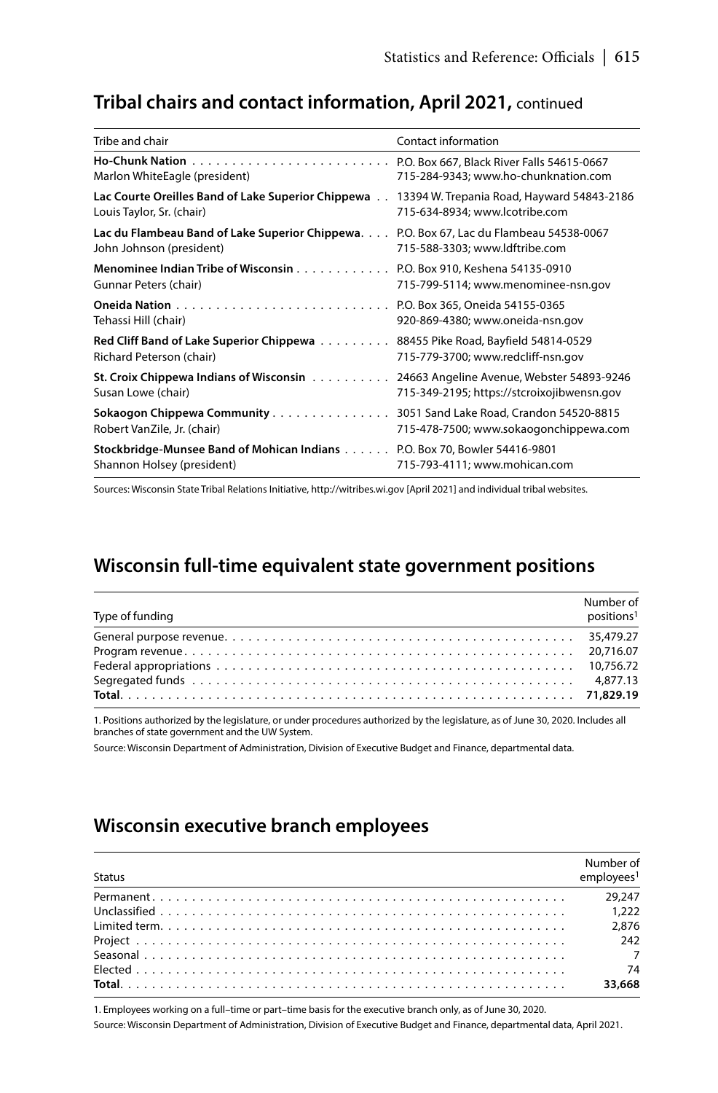## **Tribal chairs and contact information, April 2021,** continued

| Tribe and chair                                                                                         | Contact information                        |
|---------------------------------------------------------------------------------------------------------|--------------------------------------------|
|                                                                                                         | P.O. Box 667, Black River Falls 54615-0667 |
| Marlon WhiteEagle (president)                                                                           | 715-284-9343; www.ho-chunknation.com       |
| Lac Courte Oreilles Band of Lake Superior Chippewa                                                      | 13394 W. Trepania Road, Hayward 54843-2186 |
| Louis Taylor, Sr. (chair)                                                                               | 715-634-8934; www.lcotribe.com             |
| Lac du Flambeau Band of Lake Superior Chippewa.                                                         | P.O. Box 67, Lac du Flambeau 54538-0067    |
| John Johnson (president)                                                                                | 715-588-3303; www.ldftribe.com             |
| Menominee Indian Tribe of Wisconsin                                                                     | P.O. Box 910, Keshena 54135-0910           |
| Gunnar Peters (chair)                                                                                   | 715-799-5114; www.menominee-nsn.gov        |
|                                                                                                         | P.O. Box 365, Oneida 54155-0365            |
| Tehassi Hill (chair)                                                                                    | 920-869-4380; www.oneida-nsn.gov           |
| Red Cliff Band of Lake Superior Chippewa                                                                | 88455 Pike Road, Bayfield 54814-0529       |
| Richard Peterson (chair)                                                                                | 715-779-3700; www.redcliff-nsn.gov         |
| St. Croix Chippewa Indians of Wisconsin                                                                 | 24663 Angeline Avenue, Webster 54893-9246  |
| Susan Lowe (chair)                                                                                      | 715-349-2195; https://stcroixojibwensn.gov |
| Sokaogon Chippewa Community                                                                             | 3051 Sand Lake Road, Crandon 54520-8815    |
| Robert VanZile, Jr. (chair)                                                                             | 715-478-7500; www.sokaogonchippewa.com     |
| Stockbridge-Munsee Band of Mohican Indians P.O. Box 70, Bowler 54416-9801<br>Shannon Holsey (president) | 715-793-4111; www.mohican.com              |

Sources: Wisconsin State Tribal Relations Initiative, http://witribes.wi.gov [April 2021] and individual tribal websites.

## **Wisconsin full-time equivalent state government positions**

| Type of funding | Number of<br>positions <sup>1</sup> |
|-----------------|-------------------------------------|
|                 |                                     |
|                 |                                     |
|                 |                                     |
|                 |                                     |
|                 |                                     |

1. Positions authorized by the legislature, or under procedures authorized by the legislature, as of June 30, 2020. Includes all branches of state government and the UW System.

Source: Wisconsin Department of Administration, Division of Executive Budget and Finance, departmental data.

## **Wisconsin executive branch employees**

| <b>Status</b> | Number of<br>emploves <sup>1</sup> |
|---------------|------------------------------------|
|               |                                    |
|               |                                    |
|               | 2.876                              |
|               | 242                                |
|               |                                    |
|               |                                    |
|               | 33,668                             |

1. Employees working on a full–time or part–time basis for the executive branch only, as of June 30, 2020.

Source: Wisconsin Department of Administration, Division of Executive Budget and Finance, departmental data, April 2021.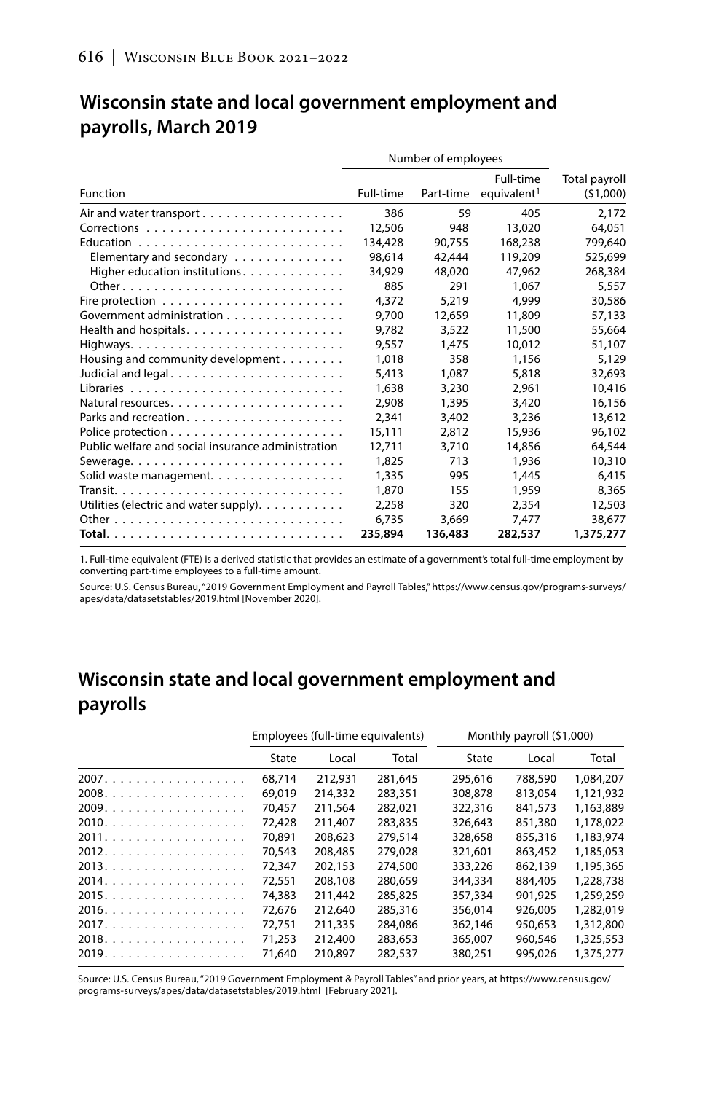|                                                    | Number of employees |           |                                      |                           |
|----------------------------------------------------|---------------------|-----------|--------------------------------------|---------------------------|
| Function                                           | Full-time           | Part-time | Full-time<br>equivalent <sup>1</sup> | Total payroll<br>(51,000) |
|                                                    | 386                 | 59        | 405                                  | 2.172                     |
|                                                    | 12,506              | 948       | 13.020                               | 64.051                    |
|                                                    | 134,428             | 90.755    | 168.238                              | 799.640                   |
| Elementary and secondary                           | 98.614              | 42,444    | 119,209                              | 525.699                   |
| Higher education institutions.                     | 34,929              | 48,020    | 47.962                               | 268,384                   |
|                                                    | 885                 | 291       | 1.067                                | 5.557                     |
|                                                    | 4,372               | 5.219     | 4.999                                | 30,586                    |
| Government administration                          | 9.700               | 12.659    | 11,809                               | 57.133                    |
|                                                    | 9.782               | 3.522     | 11,500                               | 55.664                    |
|                                                    | 9.557               | 1.475     | 10.012                               | 51,107                    |
| Housing and community development                  | 1,018               | 358       | 1,156                                | 5.129                     |
| Judicial and legal                                 | 5.413               | 1.087     | 5,818                                | 32,693                    |
|                                                    | 1.638               | 3,230     | 2.961                                | 10.416                    |
|                                                    | 2.908               | 1,395     | 3,420                                | 16.156                    |
|                                                    | 2.341               | 3,402     | 3.236                                | 13,612                    |
|                                                    | 15,111              | 2.812     | 15,936                               | 96.102                    |
| Public welfare and social insurance administration | 12.711              | 3.710     | 14,856                               | 64,544                    |
|                                                    | 1,825               | 713       | 1,936                                | 10,310                    |
| Solid waste management.                            | 1,335               | 995       | 1.445                                | 6.415                     |
|                                                    | 1,870               | 155       | 1,959                                | 8,365                     |
| Utilities (electric and water supply).             | 2.258               | 320       | 2.354                                | 12,503                    |
|                                                    | 6.735               | 3.669     | 7.477                                | 38,677                    |
|                                                    | 235,894             | 136,483   | 282,537                              | 1,375,277                 |

## **Wisconsin state and local government employment and payrolls, March 2019**

1. Full-time equivalent (FTE) is a derived statistic that provides an estimate of a government's total full-time employment by converting part-time employees to a full-time amount.

Source: U.S. Census Bureau, "2019 Government Employment and Payroll Tables," https://www.census.gov/programs-surveys/ apes/data/datasetstables/2019.html [November 2020].

## **Wisconsin state and local government employment and payrolls**

|       | Employees (full-time equivalents) |         | Monthly payroll (\$1,000) |         |         |           |
|-------|-----------------------------------|---------|---------------------------|---------|---------|-----------|
|       | State                             | Local   | Total                     | State   | Local   | Total     |
|       | 68.714                            | 212.931 | 281.645                   | 295.616 | 788,590 | 1.084.207 |
| 2008. | 69,019                            | 214,332 | 283,351                   | 308,878 | 813.054 | 1,121,932 |
| 2009. | 70.457                            | 211.564 | 282.021                   | 322,316 | 841.573 | 1,163,889 |
|       | 72,428                            | 211,407 | 283,835                   | 326.643 | 851,380 | 1.178.022 |
| 2011. | 70.891                            | 208.623 | 279,514                   | 328,658 | 855,316 | 1,183,974 |
| 2012. | 70.543                            | 208,485 | 279,028                   | 321.601 | 863,452 | 1,185,053 |
| 2013. | 72,347                            | 202.153 | 274,500                   | 333,226 | 862.139 | 1,195,365 |
| 2014. | 72.551                            | 208.108 | 280.659                   | 344,334 | 884,405 | 1,228,738 |
| 2015. | 74,383                            | 211.442 | 285.825                   | 357,334 | 901.925 | 1,259,259 |
| 2016. | 72.676                            | 212,640 | 285,316                   | 356.014 | 926.005 | 1,282,019 |
| 2017. | 72.751                            | 211,335 | 284,086                   | 362.146 | 950.653 | 1,312,800 |
| 2018. | 71,253                            | 212,400 | 283,653                   | 365.007 | 960.546 | 1,325,553 |
| 2019. | 71.640                            | 210.897 | 282,537                   | 380.251 | 995.026 | 1,375,277 |

Source: U.S. Census Bureau, "2019 Government Employment & Payroll Tables" and prior years, at https://www.census.gov/ programs-surveys/apes/data/datasetstables/2019.html [February 2021].